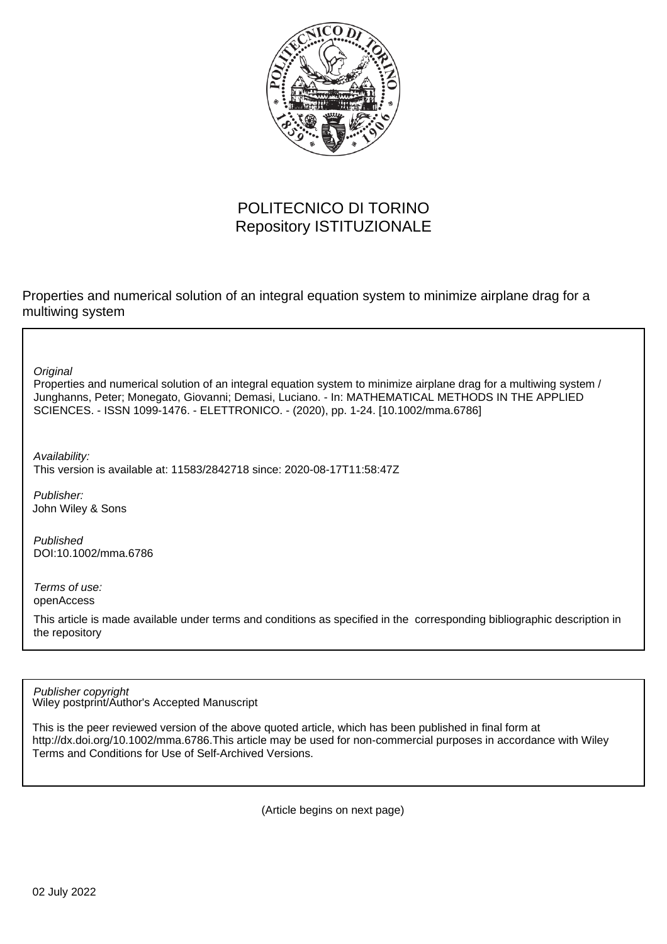

#### POLITECNICO DI TORINO Repository ISTITUZIONALE

Properties and numerical solution of an integral equation system to minimize airplane drag for a multiwing system

**Original** 

Properties and numerical solution of an integral equation system to minimize airplane drag for a multiwing system / Junghanns, Peter; Monegato, Giovanni; Demasi, Luciano. - In: MATHEMATICAL METHODS IN THE APPLIED SCIENCES. - ISSN 1099-1476. - ELETTRONICO. - (2020), pp. 1-24. [10.1002/mma.6786]

Availability: This version is available at: 11583/2842718 since: 2020-08-17T11:58:47Z

Publisher: John Wiley & Sons

Published DOI:10.1002/mma.6786

Terms of use: openAccess

This article is made available under terms and conditions as specified in the corresponding bibliographic description in the repository

Wiley postprint/Author's Accepted Manuscript Publisher copyright

This is the peer reviewed version of the above quoted article, which has been published in final form at http://dx.doi.org/10.1002/mma.6786.This article may be used for non-commercial purposes in accordance with Wiley Terms and Conditions for Use of Self-Archived Versions.

(Article begins on next page)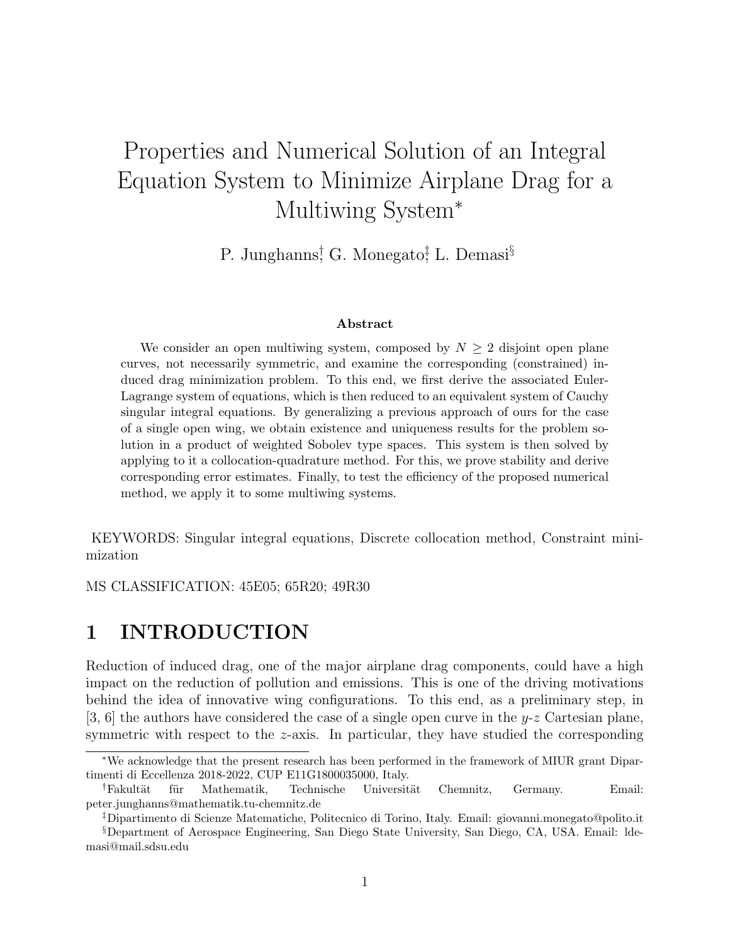# Properties and Numerical Solution of an Integral Equation System to Minimize Airplane Drag for a Multiwing System<sup>∗</sup>

P. Junghanns<sup>†</sup> G. Monegato<sup>†</sup>, L. Demasi<sup>§</sup>

#### Abstract

We consider an open multiwing system, composed by  $N \geq 2$  disjoint open plane curves, not necessarily symmetric, and examine the corresponding (constrained) induced drag minimization problem. To this end, we first derive the associated Euler-Lagrange system of equations, which is then reduced to an equivalent system of Cauchy singular integral equations. By generalizing a previous approach of ours for the case of a single open wing, we obtain existence and uniqueness results for the problem solution in a product of weighted Sobolev type spaces. This system is then solved by applying to it a collocation-quadrature method. For this, we prove stability and derive corresponding error estimates. Finally, to test the efficiency of the proposed numerical method, we apply it to some multiwing systems.

KEYWORDS: Singular integral equations, Discrete collocation method, Constraint minimization

MS CLASSIFICATION: 45E05; 65R20; 49R30

#### 1 INTRODUCTION

Reduction of induced drag, one of the major airplane drag components, could have a high impact on the reduction of pollution and emissions. This is one of the driving motivations behind the idea of innovative wing configurations. To this end, as a preliminary step, in [3, 6] the authors have considered the case of a single open curve in the  $y-z$  Cartesian plane, symmetric with respect to the z-axis. In particular, they have studied the corresponding

<sup>∗</sup>We acknowledge that the present research has been performed in the framework of MIUR grant Dipartimenti di Eccellenza 2018-2022, CUP E11G1800035000, Italy.

<sup>&</sup>lt;sup>†</sup>Fakultät für Mathematik, Technische Universität Chemnitz, Germany. Email: peter.junghanns@mathematik.tu-chemnitz.de

<sup>‡</sup>Dipartimento di Scienze Matematiche, Politecnico di Torino, Italy. Email: giovanni.monegato@polito.it §Department of Aerospace Engineering, San Diego State University, San Diego, CA, USA. Email: ldemasi@mail.sdsu.edu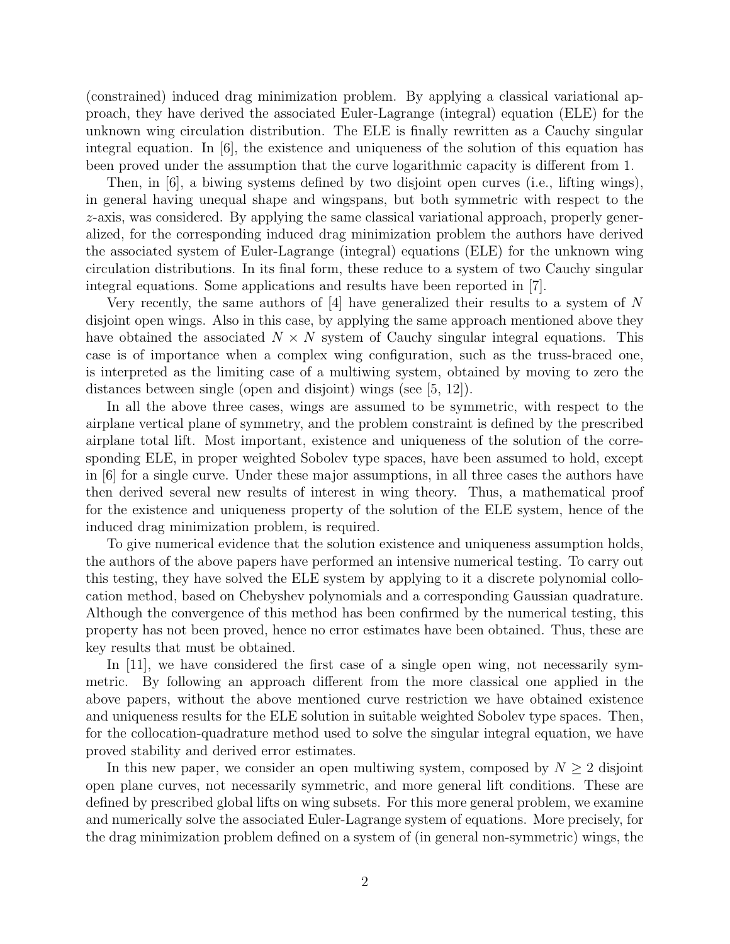(constrained) induced drag minimization problem. By applying a classical variational approach, they have derived the associated Euler-Lagrange (integral) equation (ELE) for the unknown wing circulation distribution. The ELE is finally rewritten as a Cauchy singular integral equation. In [6], the existence and uniqueness of the solution of this equation has been proved under the assumption that the curve logarithmic capacity is different from 1.

Then, in [6], a biwing systems defined by two disjoint open curves (i.e., lifting wings), in general having unequal shape and wingspans, but both symmetric with respect to the z-axis, was considered. By applying the same classical variational approach, properly generalized, for the corresponding induced drag minimization problem the authors have derived the associated system of Euler-Lagrange (integral) equations (ELE) for the unknown wing circulation distributions. In its final form, these reduce to a system of two Cauchy singular integral equations. Some applications and results have been reported in [7].

Very recently, the same authors of [4] have generalized their results to a system of N disjoint open wings. Also in this case, by applying the same approach mentioned above they have obtained the associated  $N \times N$  system of Cauchy singular integral equations. This case is of importance when a complex wing configuration, such as the truss-braced one, is interpreted as the limiting case of a multiwing system, obtained by moving to zero the distances between single (open and disjoint) wings (see [5, 12]).

In all the above three cases, wings are assumed to be symmetric, with respect to the airplane vertical plane of symmetry, and the problem constraint is defined by the prescribed airplane total lift. Most important, existence and uniqueness of the solution of the corresponding ELE, in proper weighted Sobolev type spaces, have been assumed to hold, except in [6] for a single curve. Under these major assumptions, in all three cases the authors have then derived several new results of interest in wing theory. Thus, a mathematical proof for the existence and uniqueness property of the solution of the ELE system, hence of the induced drag minimization problem, is required.

To give numerical evidence that the solution existence and uniqueness assumption holds, the authors of the above papers have performed an intensive numerical testing. To carry out this testing, they have solved the ELE system by applying to it a discrete polynomial collocation method, based on Chebyshev polynomials and a corresponding Gaussian quadrature. Although the convergence of this method has been confirmed by the numerical testing, this property has not been proved, hence no error estimates have been obtained. Thus, these are key results that must be obtained.

In [11], we have considered the first case of a single open wing, not necessarily symmetric. By following an approach different from the more classical one applied in the above papers, without the above mentioned curve restriction we have obtained existence and uniqueness results for the ELE solution in suitable weighted Sobolev type spaces. Then, for the collocation-quadrature method used to solve the singular integral equation, we have proved stability and derived error estimates.

In this new paper, we consider an open multiwing system, composed by  $N \geq 2$  disjoint open plane curves, not necessarily symmetric, and more general lift conditions. These are defined by prescribed global lifts on wing subsets. For this more general problem, we examine and numerically solve the associated Euler-Lagrange system of equations. More precisely, for the drag minimization problem defined on a system of (in general non-symmetric) wings, the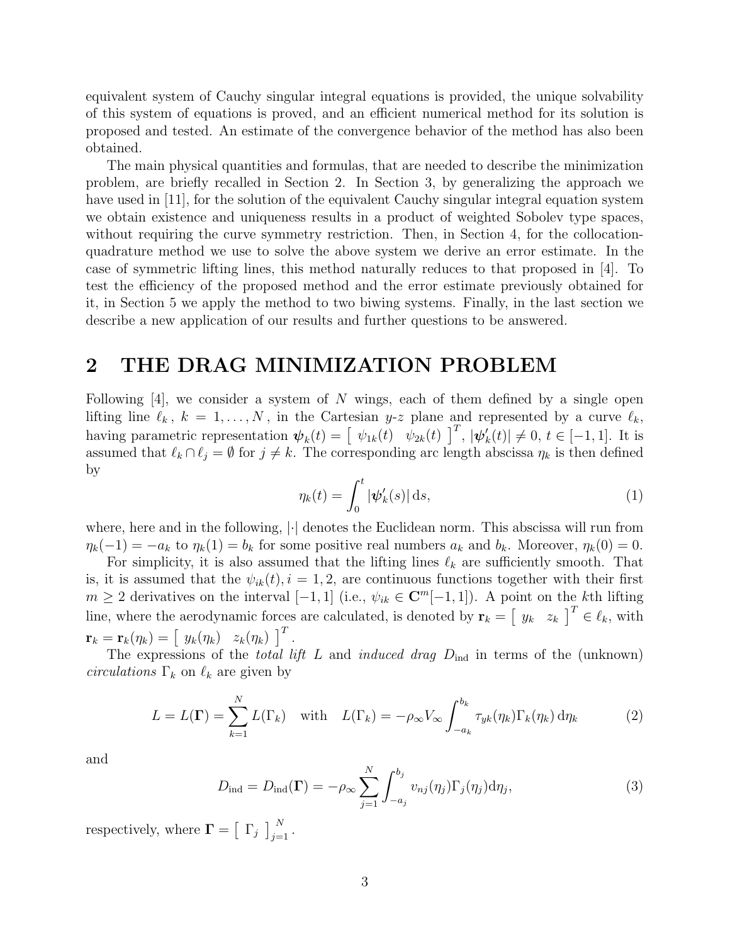equivalent system of Cauchy singular integral equations is provided, the unique solvability of this system of equations is proved, and an efficient numerical method for its solution is proposed and tested. An estimate of the convergence behavior of the method has also been obtained.

The main physical quantities and formulas, that are needed to describe the minimization problem, are briefly recalled in Section 2. In Section 3, by generalizing the approach we have used in [11], for the solution of the equivalent Cauchy singular integral equation system we obtain existence and uniqueness results in a product of weighted Sobolev type spaces, without requiring the curve symmetry restriction. Then, in Section 4, for the collocationquadrature method we use to solve the above system we derive an error estimate. In the case of symmetric lifting lines, this method naturally reduces to that proposed in [4]. To test the efficiency of the proposed method and the error estimate previously obtained for it, in Section 5 we apply the method to two biwing systems. Finally, in the last section we describe a new application of our results and further questions to be answered.

#### 2 THE DRAG MINIMIZATION PROBLEM

Following  $[4]$ , we consider a system of N wings, each of them defined by a single open lifting line  $\ell_k$ ,  $k = 1, ..., N$ , in the Cartesian y-z plane and represented by a curve  $\ell_k$ , having parametric representation  $\boldsymbol{\psi}_k(t) = \begin{bmatrix} \psi_{1k}(t) & \psi_{2k}(t) \end{bmatrix}^T$ ,  $|\psi'_k|$  $k(t) \neq 0, t \in [-1, 1].$  It is assumed that  $\ell_k \cap \ell_j = \emptyset$  for  $j \neq k$ . The corresponding arc length abscissa  $\eta_k$  is then defined by

$$
\eta_k(t) = \int_0^t |\psi_k'(s)| \,ds,\tag{1}
$$

where, here and in the following,  $|\cdot|$  denotes the Euclidean norm. This abscissa will run from  $\eta_k(-1) = -a_k$  to  $\eta_k(1) = b_k$  for some positive real numbers  $a_k$  and  $b_k$ . Moreover,  $\eta_k(0) = 0$ .

For simplicity, it is also assumed that the lifting lines  $\ell_k$  are sufficiently smooth. That is, it is assumed that the  $\psi_{ik}(t)$ ,  $i = 1, 2$ , are continuous functions together with their first  $m \geq 2$  derivatives on the interval  $[-1, 1]$  (i.e.,  $\psi_{ik} \in \mathbb{C}^m[-1, 1]$ ). A point on the kth lifting line, where the aerodynamic forces are calculated, is denoted by  $\mathbf{r}_k = \begin{bmatrix} y_k & z_k \end{bmatrix}^T \in \ell_k$ , with  $\mathbf{r}_k = \mathbf{r}_k(\eta_k) = \begin{bmatrix} y_k(\eta_k) & z_k(\eta_k) \end{bmatrix}^T.$ 

The expressions of the *total lift* L and *induced drag*  $D_{\text{ind}}$  in terms of the (unknown) *circulations*  $\Gamma_k$  on  $\ell_k$  are given by

$$
L = L(\Gamma) = \sum_{k=1}^{N} L(\Gamma_k) \quad \text{with} \quad L(\Gamma_k) = -\rho_{\infty} V_{\infty} \int_{-a_k}^{b_k} \tau_{yk}(\eta_k) \Gamma_k(\eta_k) d\eta_k \tag{2}
$$

and

$$
D_{\text{ind}} = D_{\text{ind}}(\mathbf{\Gamma}) = -\rho_{\infty} \sum_{j=1}^{N} \int_{-a_j}^{b_j} v_{nj}(\eta_j) \Gamma_j(\eta_j) d\eta_j,
$$
\n(3)

respectively, where  $\mathbf{\Gamma} = \begin{bmatrix} \Gamma_j \end{bmatrix}_{j=1}^N$ .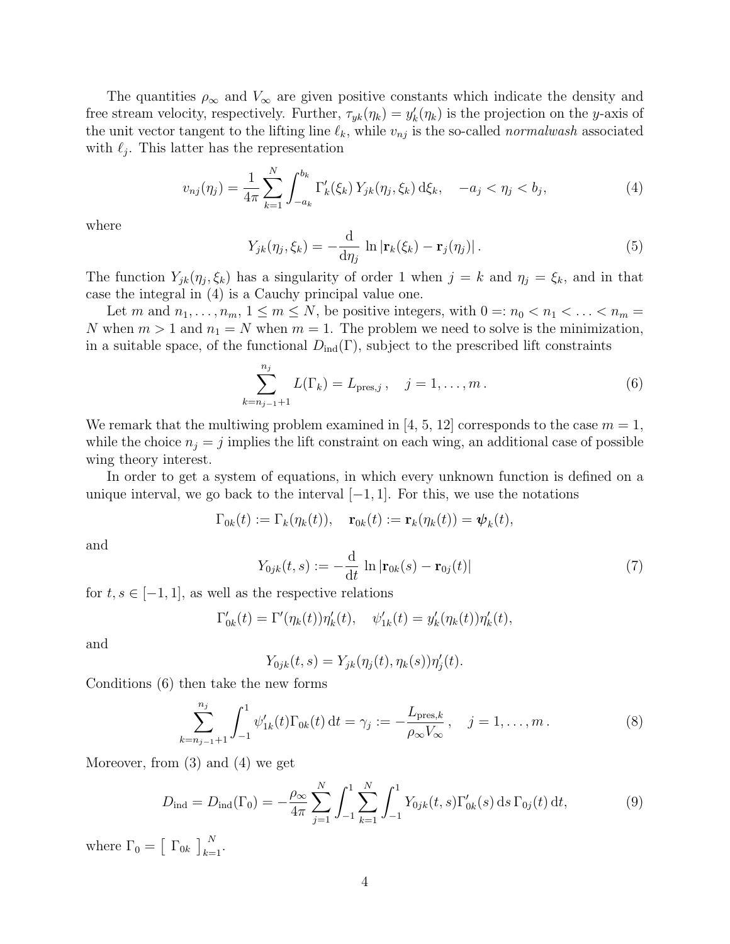The quantities  $\rho_{\infty}$  and  $V_{\infty}$  are given positive constants which indicate the density and free stream velocity, respectively. Further,  $\tau_{yk}(\eta_k) = y'_k(\eta_k)$  is the projection on the y-axis of the unit vector tangent to the lifting line  $\ell_k$ , while  $v_{nj}$  is the so-called normalwash associated with  $\ell_j$ . This latter has the representation

$$
v_{nj}(\eta_j) = \frac{1}{4\pi} \sum_{k=1}^N \int_{-a_k}^{b_k} \Gamma'_k(\xi_k) Y_{jk}(\eta_j, \xi_k) d\xi_k, \quad -a_j < \eta_j < b_j,\tag{4}
$$

where

$$
Y_{jk}(\eta_j, \xi_k) = -\frac{\mathrm{d}}{\mathrm{d}\eta_j} \, \ln |\mathbf{r}_k(\xi_k) - \mathbf{r}_j(\eta_j)|. \tag{5}
$$

The function  $Y_{jk}(\eta_j, \xi_k)$  has a singularity of order 1 when  $j = k$  and  $\eta_j = \xi_k$ , and in that case the integral in (4) is a Cauchy principal value one.

Let m and  $n_1, \ldots, n_m, 1 \le m \le N$ , be positive integers, with  $0 =: n_0 < n_1 < \ldots < n_m$ N when  $m > 1$  and  $n_1 = N$  when  $m = 1$ . The problem we need to solve is the minimization, in a suitable space, of the functional  $D_{ind}(\Gamma)$ , subject to the prescribed lift constraints

$$
\sum_{k=n_{j-1}+1}^{n_j} L(\Gamma_k) = L_{\text{pres},j}, \quad j = 1, \dots, m.
$$
 (6)

We remark that the multiwing problem examined in [4, 5, 12] corresponds to the case  $m = 1$ , while the choice  $n_j = j$  implies the lift constraint on each wing, an additional case of possible wing theory interest.

In order to get a system of equations, in which every unknown function is defined on a unique interval, we go back to the interval  $[-1, 1]$ . For this, we use the notations

$$
\Gamma_{0k}(t) := \Gamma_k(\eta_k(t)), \quad \mathbf{r}_{0k}(t) := \mathbf{r}_k(\eta_k(t)) = \boldsymbol{\psi}_k(t),
$$

and

$$
Y_{0jk}(t,s) := -\frac{\mathrm{d}}{\mathrm{d}t} \, \ln|\mathbf{r}_{0k}(s) - \mathbf{r}_{0j}(t)| \tag{7}
$$

for  $t, s \in [-1, 1]$ , as well as the respective relations

$$
\Gamma'_{0k}(t) = \Gamma'(\eta_k(t))\eta'_k(t), \quad \psi'_{1k}(t) = y'_k(\eta_k(t))\eta'_k(t),
$$

and

$$
Y_{0jk}(t,s) = Y_{jk}(\eta_j(t),\eta_k(s))\eta_j'(t).
$$

Conditions (6) then take the new forms

$$
\sum_{k=n_{j-1}+1}^{n_j} \int_{-1}^1 \psi'_{1k}(t) \Gamma_{0k}(t) dt = \gamma_j := -\frac{L_{\text{pres},k}}{\rho_\infty V_\infty}, \quad j = 1, \dots, m.
$$
 (8)

Moreover, from (3) and (4) we get

$$
D_{\text{ind}} = D_{\text{ind}}(\Gamma_0) = -\frac{\rho_{\infty}}{4\pi} \sum_{j=1}^{N} \int_{-1}^{1} \sum_{k=1}^{N} \int_{-1}^{1} Y_{0jk}(t, s) \Gamma'_{0k}(s) \, ds \, \Gamma_{0j}(t) \, dt,\tag{9}
$$

where  $\Gamma_0 = \left[ \begin{array}{c} \Gamma_{0k} \end{array} \right]_{k=1}^{N}$ .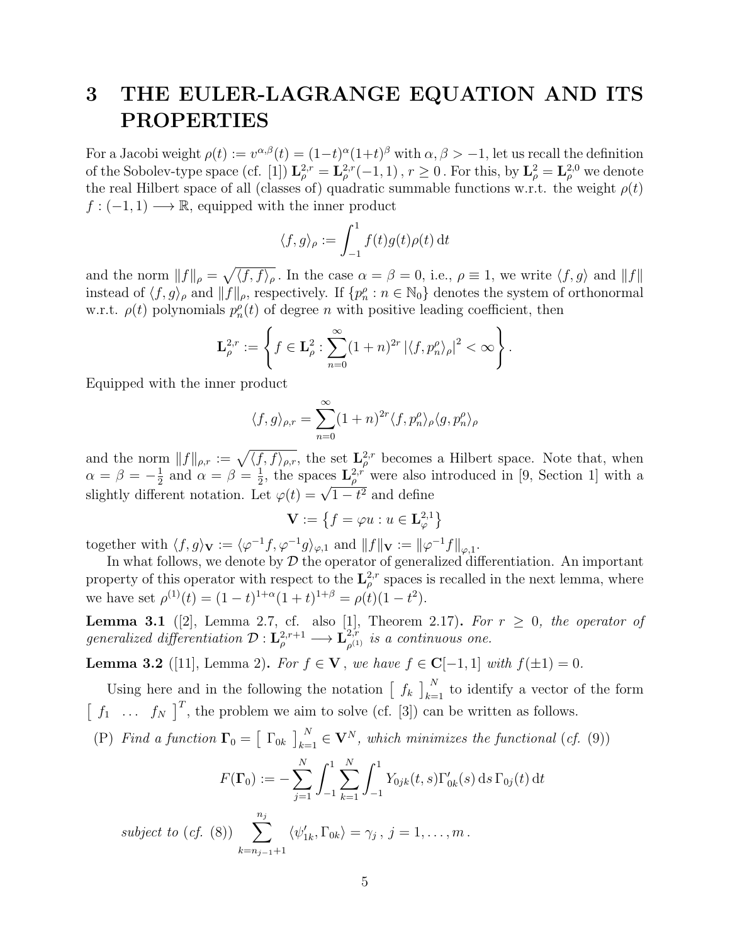# 3 THE EULER-LAGRANGE EQUATION AND ITS PROPERTIES

For a Jacobi weight  $\rho(t) := v^{\alpha,\beta}(t) = (1-t)^{\alpha}(1+t)^{\beta}$  with  $\alpha,\beta > -1$ , let us recall the definition of the Sobolev-type space (cf. [1])  $\mathbf{L}_{\rho}^{2,r} = \mathbf{L}_{\rho}^{2,r}(-1,1)$ ,  $r \geq 0$ . For this, by  $\mathbf{L}_{\rho}^{2} = \mathbf{L}_{\rho}^{2,0}$  we denote the real Hilbert space of all (classes of) quadratic summable functions w.r.t. the weight  $\rho(t)$  $f: (-1, 1) \longrightarrow \mathbb{R}$ , equipped with the inner product

$$
\langle f, g \rangle_{\rho} := \int_{-1}^{1} f(t)g(t)\rho(t) dt
$$

and the norm  $||f||_{\rho} = \sqrt{\langle f, f \rangle_{\rho}}$ . In the case  $\alpha = \beta = 0$ , i.e.,  $\rho \equiv 1$ , we write  $\langle f, g \rangle$  and  $||f||$ instead of  $\langle f, g \rangle_\rho$  and  $||f||_\rho$ , respectively. If  $\{p_n^{\rho} : n \in \mathbb{N}_0\}$  denotes the system of orthonormal w.r.t.  $\rho(t)$  polynomials  $p_n^{\rho}(t)$  of degree n with positive leading coefficient, then

$$
\mathbf{L}_{\rho}^{2,r} := \left\{ f \in \mathbf{L}_{\rho}^2 : \sum_{n=0}^{\infty} (1+n)^{2r} \left| \langle f, p_n^{\rho} \rangle_{\rho} \right|^2 < \infty \right\}.
$$

Equipped with the inner product

$$
\langle f, g \rangle_{\rho, r} = \sum_{n=0}^{\infty} (1+n)^{2r} \langle f, p_n^{\rho} \rangle_{\rho} \langle g, p_n^{\rho} \rangle_{\rho}
$$

and the norm  $||f||_{\rho,r} := \sqrt{\langle f, f \rangle_{\rho,r}},$  the set  $\mathbf{L}^{2,r}_{\rho}$  becomes a Hilbert space. Note that, when  $\alpha = \beta = -\frac{1}{2}$  $\frac{1}{2}$  and  $\alpha = \beta = \frac{1}{2}$  $\frac{1}{2}$ , the spaces  $\mathbf{L}^{2,r}_{\rho}$  were also introduced in [9, Section 1] with a  $\alpha - \beta = -\frac{1}{2}$  and  $\alpha - \beta = \frac{1}{2}$ , the spaces  $\mathbf{L}_{\rho}$  were also re-

$$
\mathbf{V} := \left\{ f = \varphi u : u \in \mathbf{L}^{2,1}_{\varphi} \right\}
$$

together with  $\langle f, g \rangle_{\mathbf{V}} := \langle \varphi^{-1} f, \varphi^{-1} g \rangle_{\varphi,1}$  and  $||f||_{\mathbf{V}} := ||\varphi^{-1} f||_{\varphi,1}$ .

In what follows, we denote by  $D$  the operator of generalized differentiation. An important property of this operator with respect to the  $\mathbf{L}^{2,r}_{\rho}$  spaces is recalled in the next lemma, where we have set  $\rho^{(1)}(t) = (1-t)^{1+\alpha}(1+t)^{1+\beta} = \rho(t)(1-t^2)$ .

**Lemma 3.1** ([2], Lemma 2.7, cf. also [1], Theorem 2.17). For  $r \geq 0$ , the operator of generalized differentiation  $\mathcal{D}: \mathbf{L}_{\rho}^{2,r+1} \longrightarrow \mathbf{L}_{\rho^{(1)}}^{2,r}$  $\varphi^{2,r}_{\rho^{(1)}}$  is a continuous one.

**Lemma 3.2** ([11], Lemma 2). For  $f \in V$ , we have  $f \in C[-1,1]$  with  $f(±1) = 0$ .

Using here and in the following the notation  $\left[ f_k \right]_{k=1}^N$  to identify a vector of the form  $\begin{bmatrix} f_1 & \dots & f_N \end{bmatrix}^T$ , the problem we aim to solve (cf. [3]) can be written as follows.

(P) Find a function  $\Gamma_0 = \begin{bmatrix} \Gamma_{0k} \end{bmatrix}_{k=1}^N \in V^N$ , which minimizes the functional (cf. (9))

$$
F(\mathbf{\Gamma}_0) := -\sum_{j=1}^N \int_{-1}^1 \sum_{k=1}^N \int_{-1}^1 Y_{0jk}(t,s) \Gamma'_{0k}(s) \,ds \,\Gamma_{0j}(t) \,dt
$$

subject to (cf. (8))  $\sum_{i=1}^{n_j}$  $k=n_{j-1}+1$  $\langle \psi'_{1k}, \Gamma_{0k} \rangle = \gamma_j, j = 1, \ldots, m$ .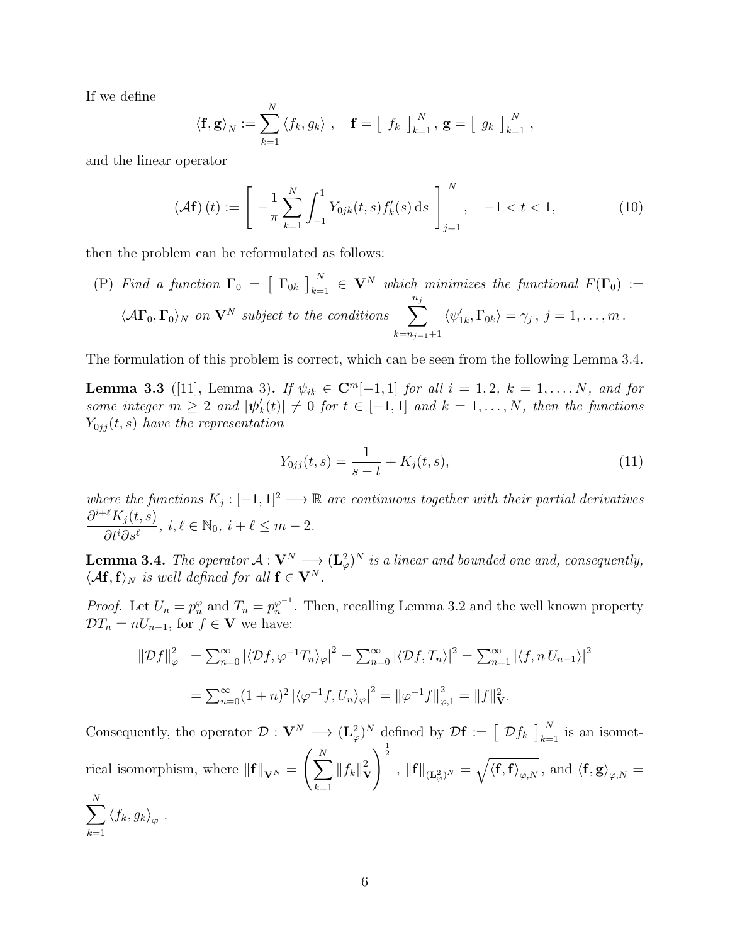If we define

 $k=1$ 

$$
\langle \mathbf{f}, \mathbf{g} \rangle_N := \sum_{k=1}^N \langle f_k, g_k \rangle
$$
,  $\mathbf{f} = \left[ f_k \right]_{k=1}^N$ ,  $\mathbf{g} = \left[ g_k \right]_{k=1}^N$ ,

and the linear operator

$$
\left(\mathcal{A}\mathbf{f}\right)(t) := \left[ -\frac{1}{\pi} \sum_{k=1}^{N} \int_{-1}^{1} Y_{0jk}(t,s) f_k'(s) \, ds \right]_{j=1}^{N}, \quad -1 < t < 1,\tag{10}
$$

then the problem can be reformulated as follows:

(P) Find a function  $\Gamma_0 = \left[\begin{array}{c} \Gamma_{0k} \end{array}\right]_{k=1}^N \in \mathbf{V}^N$  which minimizes the functional  $F(\Gamma_0) :=$  $\langle A\Gamma_0,\Gamma_0\rangle_N$  on  ${\bf V}^N$  subject to the conditions  $\sum_{n=1}^{n_j}$  $k=n_{j-1}+1$  $\langle \psi'_{1k}, \Gamma_{0k} \rangle = \gamma_j, j = 1, \ldots, m$ .

The formulation of this problem is correct, which can be seen from the following Lemma 3.4.

**Lemma 3.3** ([11], Lemma 3). If  $\psi_{ik} \in \mathbb{C}^m[-1,1]$  for all  $i = 1, 2, k = 1, ..., N$ , and for some integer  $m \geq 2$  and  $|\psi'_k\rangle$  $k(k) \neq 0$  for  $t \in [-1,1]$  and  $k = 1, \ldots, N$ , then the functions  $Y_{0jj}(t, s)$  have the representation

$$
Y_{0jj}(t,s) = \frac{1}{s-t} + K_j(t,s),
$$
\n(11)

where the functions  $K_j: [-1,1]^2 \longrightarrow \mathbb{R}$  are continuous together with their partial derivatives  $\partial^{i+\ell} K_j (t,s)$  $\frac{\Lambda_j(t,s)}{\partial t^i \partial s^\ell}$ ,  $i, \ell \in \mathbb{N}_0$ ,  $i + \ell \leq m - 2$ .

**Lemma 3.4.** The operator  $A: V^N \longrightarrow (L^2_{\varphi})^N$  is a linear and bounded one and, consequently,  $\langle A\mathbf{f},\mathbf{f}\rangle_N$  is well defined for all  $\mathbf{f} \in \mathbf{V}^N$ .

*Proof.* Let  $U_n = p_n^{\varphi}$  and  $T_n = p_n^{\varphi^{-1}}$ . Then, recalling Lemma 3.2 and the well known property  $\mathcal{D}T_n = nU_{n-1}$ , for  $f \in \mathbf{V}$  we have:

$$
\|\mathcal{D}f\|_{\varphi}^{2} = \sum_{n=0}^{\infty} |\langle \mathcal{D}f, \varphi^{-1}T_{n}\rangle_{\varphi}|^{2} = \sum_{n=0}^{\infty} |\langle \mathcal{D}f, T_{n}\rangle|^{2} = \sum_{n=1}^{\infty} |\langle f, n U_{n-1}\rangle|^{2}
$$

$$
= \sum_{n=0}^{\infty} (1+n)^{2} |\langle \varphi^{-1}f, U_{n}\rangle_{\varphi}|^{2} = ||\varphi^{-1}f||_{\varphi,1}^{2} = ||f||_{\mathbf{V}}^{2}.
$$

Consequently, the operator  $\mathcal{D}: \mathbf{V}^N \longrightarrow (\mathbf{L}_{\varphi}^2)^N$  defined by  $\mathcal{D}\mathbf{f} := \begin{bmatrix} \mathcal{D}f_k \end{bmatrix}_{k=1}^N$  is an isometrical isomorphism, where  $\|\mathbf{f}\|_{\mathbf{V}^{N}} = \left(\sum_{i=1}^{N} \mathbf{f}(x_i, y_i) \right)$  $k=1$  $||f_k||^2$ V  $\sqrt{\frac{1}{2}}$ ,  $\|\mathbf{f}\|_{(\mathbf{L}^2_\varphi)^N} = \sqrt{\langle \mathbf{f}, \mathbf{f} \rangle_{\varphi,N}}$  , and  $\langle \mathbf{f}, \mathbf{g} \rangle_{\varphi,N} =$  $\sum$ N  $\langle f_k, g_k \rangle_\varphi$ .

$$
6 \\
$$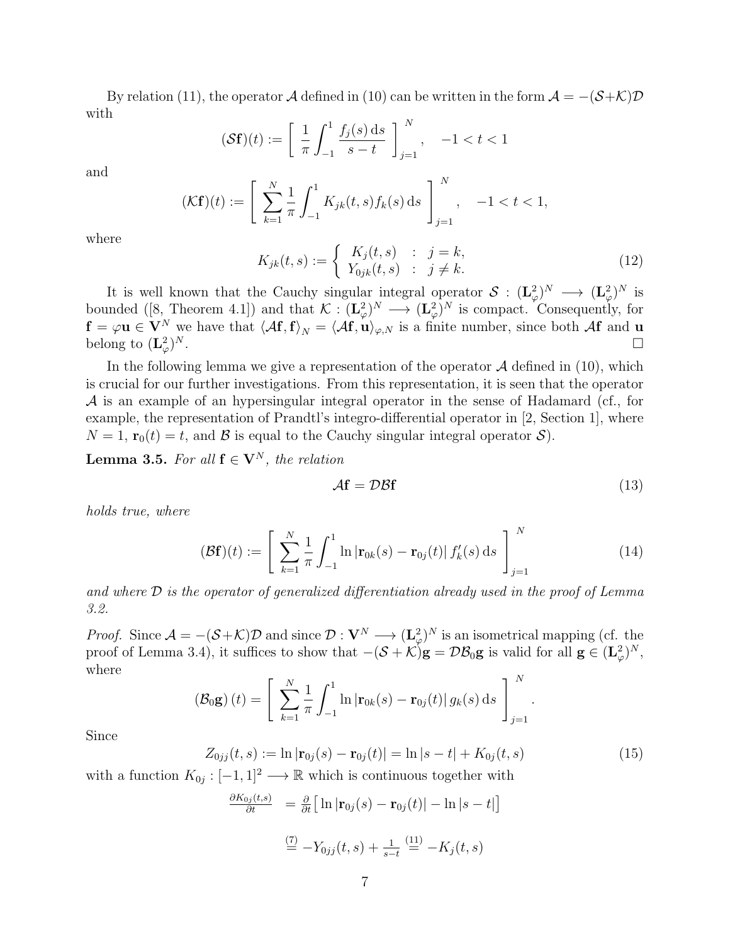By relation (11), the operator A defined in (10) can be written in the form  $A = -(S+\mathcal{K})\mathcal{D}$ with

$$
(\mathcal{S}\mathbf{f})(t) := \left[ \frac{1}{\pi} \int_{-1}^{1} \frac{f_j(s) \, \mathrm{d}s}{s - t} \right]_{j=1}^{N}, \quad -1 < t < 1
$$

and

$$
(\mathcal{K}\mathbf{f})(t) := \left[ \sum_{k=1}^{N} \frac{1}{\pi} \int_{-1}^{1} K_{jk}(t,s) f_k(s) \, ds \right]_{j=1}^{N}, \quad -1 < t < 1,
$$

where

$$
K_{jk}(t,s) := \begin{cases} K_j(t,s) & \text{: } j = k, \\ Y_{0jk}(t,s) & \text{: } j \neq k. \end{cases}
$$
 (12)

It is well known that the Cauchy singular integral operator  $S : (\mathbf{L}^2_\varphi)^N \to (\mathbf{L}^2_\varphi)^N$  is bounded ([8, Theorem 4.1]) and that  $\mathcal{K} : (\mathbf{L}^2_\varphi)^N \to (\mathbf{L}^2_\varphi)^N$  is compact. Consequently, for  $f = \varphi \mathbf{u} \in \mathbf{V}^N$  we have that  $\langle A\mathbf{f}, \mathbf{f} \rangle_N = \langle A\mathbf{f}, \mathbf{u} \rangle_{\varphi,N}$  is a finite number, since both  $A\mathbf{f}$  and  $\mathbf{u}$ belong to  $(\mathbf{L}^2_{\varphi})$  $N$  .

In the following lemma we give a representation of the operator  $A$  defined in (10), which is crucial for our further investigations. From this representation, it is seen that the operator  $\mathcal A$  is an example of an hypersingular integral operator in the sense of Hadamard (cf., for example, the representation of Prandtl's integro-differential operator in [2, Section 1], where  $N = 1$ ,  $\mathbf{r}_0(t) = t$ , and  $\beta$  is equal to the Cauchy singular integral operator  $\mathcal{S}$ ).

**Lemma 3.5.** For all  $f \in V^N$ , the relation

$$
\mathcal{A}\mathbf{f} = \mathcal{D}\mathcal{B}\mathbf{f} \tag{13}
$$

.

1

holds true, where

$$
(\mathcal{B}\mathbf{f})(t) := \left[ \sum_{k=1}^{N} \frac{1}{\pi} \int_{-1}^{1} \ln |\mathbf{r}_{0k}(s) - \mathbf{r}_{0j}(t)| f'_k(s) ds \right]_{j=1}^{N}
$$
(14)

and where D is the operator of generalized differentiation already used in the proof of Lemma 3.2.

*Proof.* Since  $\mathcal{A} = -(\mathcal{S} + \mathcal{K})\mathcal{D}$  and since  $\mathcal{D}: \mathbf{V}^N \longrightarrow (\mathbf{L}^2_{\varphi})^N$  is an isometrical mapping (cf. the proof of Lemma 3.4), it suffices to show that  $-(\mathcal{S} + \mathcal{K})\mathbf{g} = \mathcal{D}\mathcal{B}_0\mathbf{g}$  is valid for all  $\mathbf{g} \in (\mathbf{L}^2_{\varphi})^N$ , where

$$
(\mathcal{B}_0 \mathbf{g}) (t) = \left[ \sum_{k=1}^N \frac{1}{\pi} \int_{-1}^1 \ln |\mathbf{r}_{0k}(s) - \mathbf{r}_{0j}(t)| g_k(s) ds \right]_{j=1}^N
$$

Since

$$
Z_{0jj}(t,s) := \ln |\mathbf{r}_{0j}(s) - \mathbf{r}_{0j}(t)| = \ln |s - t| + K_{0j}(t,s)
$$
(15)

with a function  $K_{0j} : [-1,1]^2 \longrightarrow \mathbb{R}$  which is continuous together with

$$
\frac{\partial K_{0j}(t,s)}{\partial t} = \frac{\partial}{\partial t} \Big[ \ln |\mathbf{r}_{0j}(s) - \mathbf{r}_{0j}(t)| - \ln |s - t| \Big]
$$

$$
\stackrel{(7)}{=} -Y_{0jj}(t,s) + \frac{1}{s-t} \stackrel{(11)}{=} -K_j(t,s)
$$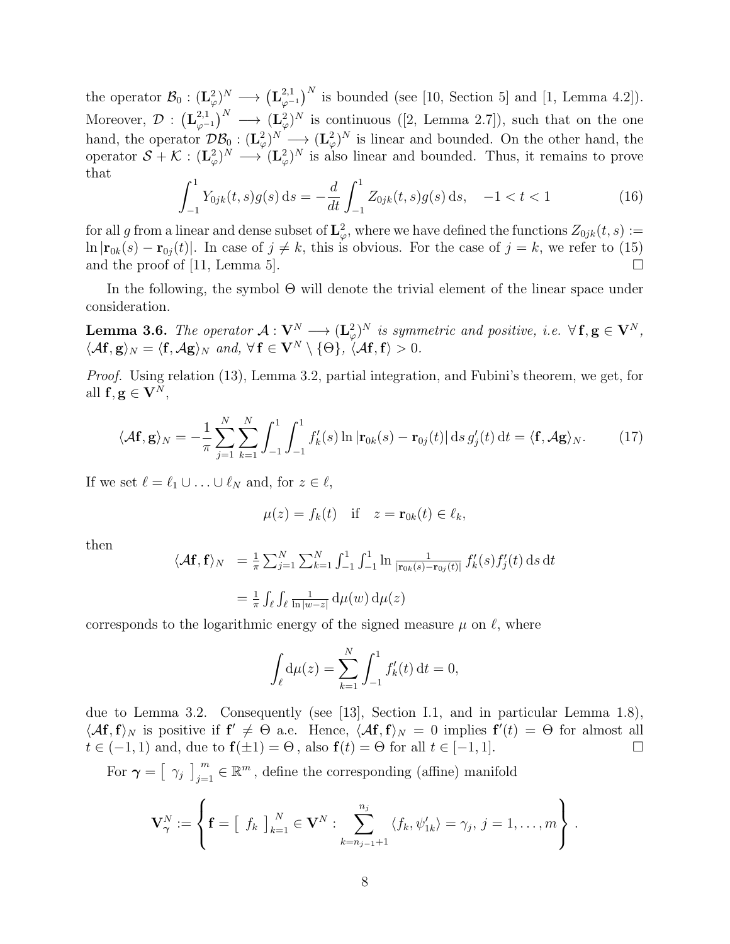the operator  $\mathcal{B}_0 : (\mathbf{L}_{\varphi}^2)^N \longrightarrow (\mathbf{L}_{\varphi}^{2,1})^N$  $_{\varphi^{-1}}^{2,1}$  is bounded (see [10, Section 5] and [1, Lemma 4.2]). Moreover,  $\mathcal{D}$  :  $(\mathbf{L}_{0}^{2,1})$  $(\mathbf{L}^{2,1}_{\varphi})^N$  →  $(\mathbf{L}^{2}_{\varphi})^N$  is continuous ([2, Lemma 2.7]), such that on the one hand, the operator  $\mathcal{DB}_0: (\mathbf{L}_{\varphi}^2)^N \longrightarrow (\mathbf{L}_{\varphi}^2)^N$  is linear and bounded. On the other hand, the operator  $S + \mathcal{K} : (\mathbf{L}^2_{\varphi})^N \longrightarrow (\mathbf{L}^2_{\varphi})^N$  is also linear and bounded. Thus, it remains to prove that

$$
\int_{-1}^{1} Y_{0jk}(t,s)g(s) ds = -\frac{d}{dt} \int_{-1}^{1} Z_{0jk}(t,s)g(s) ds, -1 < t < 1
$$
 (16)

for all g from a linear and dense subset of  $\mathbf{L}^2_{\varphi}$ , where we have defined the functions  $Z_{0jk}(t, s) :=$  $\ln |\mathbf{r}_{0k}(s) - \mathbf{r}_{0j}(t)|$ . In case of  $j \neq k$ , this is obvious. For the case of  $j = k$ , we refer to (15) and the proof of [11, Lemma 5].  $\Box$ 

In the following, the symbol Θ will denote the trivial element of the linear space under consideration.

**Lemma 3.6.** The operator  $\mathcal{A}: V^N \longrightarrow (L^2_{\varphi})^N$  is symmetric and positive, i.e.  $\forall f, g \in V^N$ ,  $\langle A\mathbf{f}, \mathbf{g} \rangle_N = \langle \mathbf{f}, A\mathbf{g} \rangle_N$  and,  $\forall \mathbf{f} \in \mathbf{V}^N \setminus \{\Theta\}, \langle A\mathbf{f}, \mathbf{f} \rangle > 0.$ 

Proof. Using relation (13), Lemma 3.2, partial integration, and Fubini's theorem, we get, for all  $f, g \in V^N$ ,

$$
\langle A\mathbf{f}, \mathbf{g} \rangle_N = -\frac{1}{\pi} \sum_{j=1}^N \sum_{k=1}^N \int_{-1}^1 \int_{-1}^1 f'_k(s) \ln |\mathbf{r}_{0k}(s) - \mathbf{r}_{0j}(t)| \, ds \, g'_j(t) \, dt = \langle \mathbf{f}, A\mathbf{g} \rangle_N. \tag{17}
$$

If we set  $\ell = \ell_1 \cup ... \cup \ell_N$  and, for  $z \in \ell$ ,

$$
\mu(z) = f_k(t) \quad \text{if} \quad z = \mathbf{r}_{0k}(t) \in \ell_k,
$$

then

$$
\langle \mathcal{A}\mathbf{f}, \mathbf{f} \rangle_N = \frac{1}{\pi} \sum_{j=1}^N \sum_{k=1}^N \int_{-1}^1 \int_{-1}^1 \ln \frac{1}{|\mathbf{r}_{0k}(s) - \mathbf{r}_{0j}(t)|} f'_k(s) f'_j(t) ds dt
$$
  

$$
= \frac{1}{\pi} \int_{\ell} \int_{\ell} \frac{1}{\ln |w - z|} d\mu(w) d\mu(z)
$$

corresponds to the logarithmic energy of the signed measure  $\mu$  on  $\ell$ , where

$$
\int_{\ell} d\mu(z) = \sum_{k=1}^{N} \int_{-1}^{1} f'_k(t) dt = 0,
$$

due to Lemma 3.2. Consequently (see [13], Section I.1, and in particular Lemma 1.8),  $\langle Af, f \rangle_N$  is positive if  $f' \neq \Theta$  a.e. Hence,  $\langle Af, f \rangle_N = 0$  implies  $f'(t) = \Theta$  for almost all  $t \in (-1, 1)$  and, due to  $\mathbf{f}(\pm 1) = \Theta$ , also  $\mathbf{f}(t) = \Theta$  for all  $t \in [-1, 1]$ .

For  $\gamma = \left[\begin{array}{c} \gamma_j \end{array}\right]_{j=1}^m \in \mathbb{R}^m$ , define the corresponding (affine) manifold

$$
\mathbf{V}_{\boldsymbol{\gamma}}^N := \left\{ \mathbf{f} = \left[ \begin{array}{c} f_k \end{array} \right]_{k=1}^N \in \mathbf{V}^N : \sum_{k=n_{j-1}+1}^{n_j} \langle f_k, \psi'_{1k} \rangle = \gamma_j, \ j = 1, \ldots, m \right\}.
$$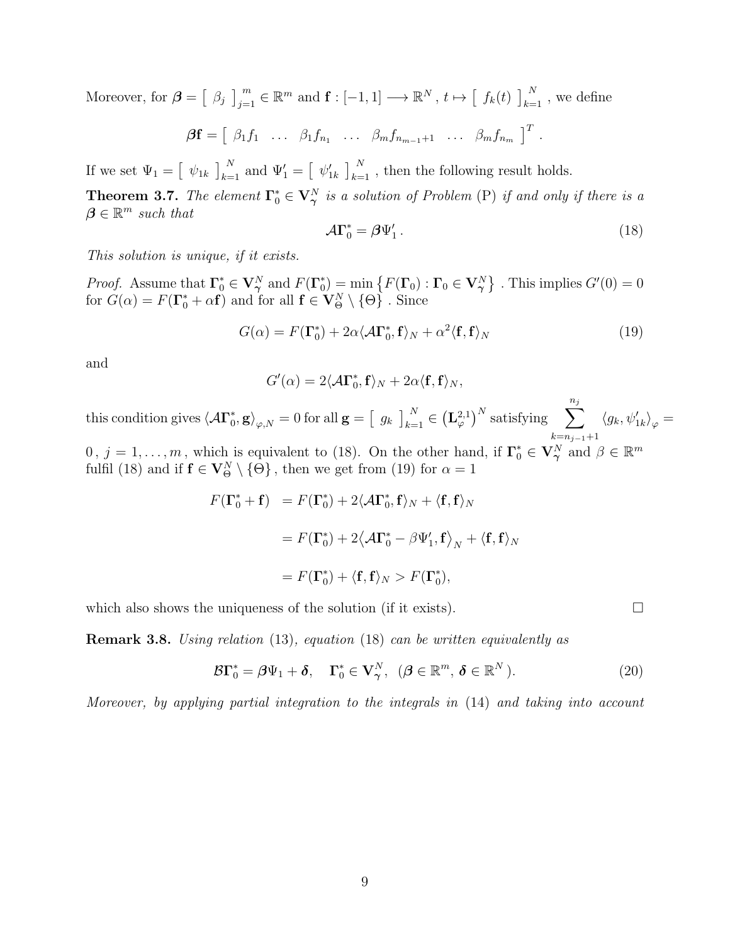Moreover, for  $\boldsymbol{\beta} = \begin{bmatrix} \beta_j \end{bmatrix}_{j=1}^m \in \mathbb{R}^m$  and  $\mathbf{f} : [-1, 1] \longrightarrow \mathbb{R}^N$ ,  $t \mapsto \begin{bmatrix} f_k(t) \end{bmatrix}_{k=1}^N$ , we define

 $\bm{\beta}\mathbf{f}=\left[\begin{array}{cccc} \beta_1f_1 & \ldots & \beta_1f_{n_1} & \ldots & \beta_m f_{n_{m-1}+1} & \ldots & \beta_m f_{n_m} \end{array}\right]^T\,.$ 

If we set  $\Psi_1 = \begin{bmatrix} \psi_{1k} \end{bmatrix}_{k=1}^N$  and  $\Psi_1' = \begin{bmatrix} \psi_{1k}' \end{bmatrix}_{k=1}^N$ , then the following result holds.

**Theorem 3.7.** The element  $\Gamma_0^* \in V_\gamma^N$  is a solution of Problem (P) if and only if there is a  $\beta \in \mathbb{R}^m$  such that

$$
\mathcal{A}\Gamma_0^* = \beta\Psi_1' \,. \tag{18}
$$

This solution is unique, if it exists.

*Proof.* Assume that  $\Gamma_0^* \in V_\gamma^N$  and  $F(\Gamma_0^*)$  $\mathcal{L}_0^*$  = min  $\{F(\mathbf{\Gamma}_0): \mathbf{\Gamma}_0 \in \mathbf{V}_{\boldsymbol{\gamma}}^N\}$  . This implies  $G'(0) = 0$ for  $G(\alpha) = F(\Gamma_0^* + \alpha \mathbf{f})$  and for all  $\mathbf{f} \in \mathbf{V}_{\Theta}^N \setminus \{\Theta\}$ . Since

$$
G(\alpha) = F(\Gamma_0^*) + 2\alpha \langle A\Gamma_0^*, \mathbf{f} \rangle_N + \alpha^2 \langle \mathbf{f}, \mathbf{f} \rangle_N \tag{19}
$$

and

$$
G'(\alpha) = 2\langle A\Gamma_0^*, \mathbf{f}\rangle_N + 2\alpha\langle \mathbf{f}, \mathbf{f}\rangle_N,
$$

this condition gives  $\langle A\Gamma_0^*$  $\left\langle \Phi_{0},\mathbf{g}\right\rangle _{\varphi,N}=0\text{ for all }\mathbf{g}=\left[\begin{array}{cc} g_{k}\end{array}\right]_{k=1}^{N}\in\left(\mathbf{L}_{\varphi}^{2,1}\right)^{N}\text{ satisfying}\quad\sum_{k=1}^{n_{j}}% \rho_{k}(g_{k})_{k=1}^{N}\text{ and }\mathbf{g}_{k}(g_{k})_{k=1}^{N}.$  $k=n_{j-1}+1$  $\langle g_k, \psi_{1k}' \rangle_{\varphi} =$ 

 $0, j = 1, \ldots, m$ , which is equivalent to (18). On the other hand, if  $\Gamma_0^* \in V_\gamma^N$  and  $\beta \in \mathbb{R}^m$ fulfil (18) and if  $f \in V^N_{\Theta} \setminus \{ \Theta \}$ , then we get from (19) for  $\alpha = 1$ 

$$
F(\Gamma_0^* + \mathbf{f}) = F(\Gamma_0^*) + 2\langle \mathcal{A}\Gamma_0^*, \mathbf{f} \rangle_N + \langle \mathbf{f}, \mathbf{f} \rangle_N
$$
  
=  $F(\Gamma_0^*) + 2\langle \mathcal{A}\Gamma_0^* - \beta \Psi_1', \mathbf{f} \rangle_N + \langle \mathbf{f}, \mathbf{f} \rangle_N$   
=  $F(\Gamma_0^*) + \langle \mathbf{f}, \mathbf{f} \rangle_N > F(\Gamma_0^*),$ 

which also shows the uniqueness of the solution (if it exists).  $\Box$ 

Remark 3.8. Using relation (13), equation (18) can be written equivalently as

$$
\mathcal{B}\Gamma_0^* = \beta\Psi_1 + \delta, \quad \Gamma_0^* \in \mathbf{V}_\gamma^N, \quad (\beta \in \mathbb{R}^m, \delta \in \mathbb{R}^N).
$$
 (20)

Moreover, by applying partial integration to the integrals in (14) and taking into account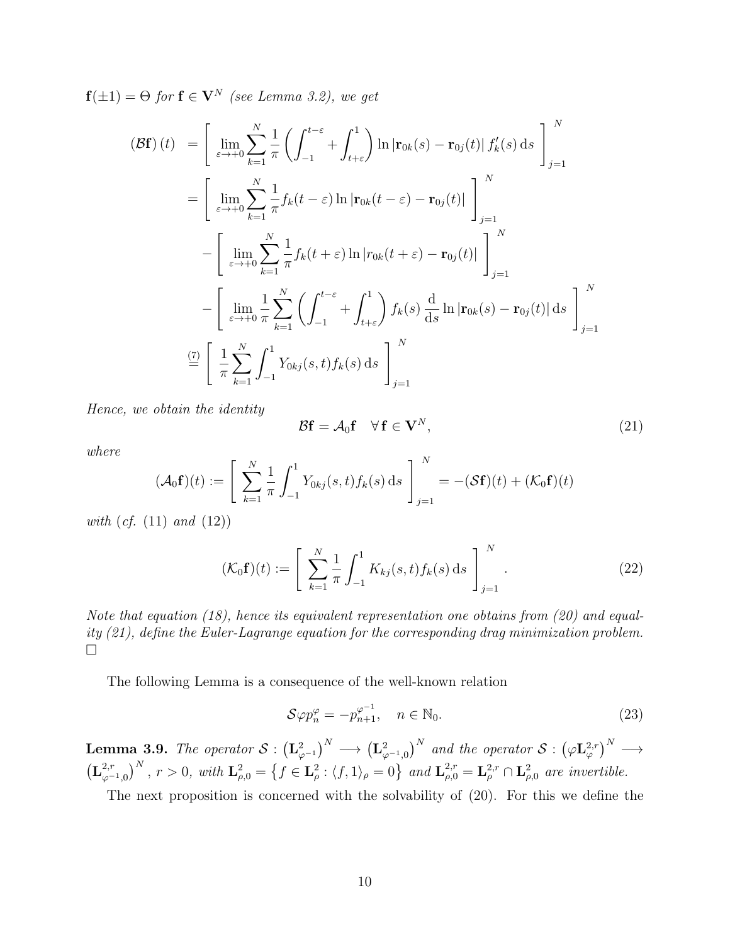$f(\pm 1) = \Theta$  for  $f \in V^N$  (see Lemma 3.2), we get

$$
\begin{split}\n\left(\mathcal{B}\mathbf{f}\right)(t) &= \left[\lim_{\varepsilon \to +0} \sum_{k=1}^{N} \frac{1}{\pi} \left( \int_{-1}^{t-\varepsilon} + \int_{t+\varepsilon}^{1} \right) \ln \left| \mathbf{r}_{0k}(s) - \mathbf{r}_{0j}(t) \right| f'_{k}(s) \, \mathrm{d}s \right]_{j=1}^{N} \\
&= \left[\lim_{\varepsilon \to +0} \sum_{k=1}^{N} \frac{1}{\pi} f_{k}(t-\varepsilon) \ln \left| \mathbf{r}_{0k}(t-\varepsilon) - \mathbf{r}_{0j}(t) \right| \right]_{j=1}^{N} \\
&- \left[\lim_{\varepsilon \to +0} \sum_{k=1}^{N} \frac{1}{\pi} f_{k}(t+\varepsilon) \ln \left| r_{0k}(t+\varepsilon) - \mathbf{r}_{0j}(t) \right| \right]_{j=1}^{N} \\
&- \left[\lim_{\varepsilon \to +0} \frac{1}{\pi} \sum_{k=1}^{N} \left( \int_{-1}^{t-\varepsilon} + \int_{t+\varepsilon}^{1} \right) f_{k}(s) \, \frac{\mathrm{d}}{\mathrm{d}s} \ln \left| \mathbf{r}_{0k}(s) - \mathbf{r}_{0j}(t) \right| \, \mathrm{d}s \right]_{j=1}^{N} \\
& \stackrel{\text{(7)}{=} \left[ \frac{1}{\pi} \sum_{k=1}^{N} \int_{-1}^{1} Y_{0kj}(s,t) f_{k}(s) \, \mathrm{d}s \right]_{j=1}^{N}\n\end{split}
$$

Hence, we obtain the identity

$$
\mathcal{B}\mathbf{f} = \mathcal{A}_0 \mathbf{f} \quad \forall \, \mathbf{f} \in \mathbf{V}^N,\tag{21}
$$

where

$$
(\mathcal{A}_0 \mathbf{f})(t) := \left[ \sum_{k=1}^N \frac{1}{\pi} \int_{-1}^1 Y_{0kj}(s, t) f_k(s) \, ds \right]_{j=1}^N = -(\mathcal{S}\mathbf{f})(t) + (\mathcal{K}_0 \mathbf{f})(t)
$$

with  $(cf. (11)$  and  $(12)$ )

$$
(\mathcal{K}_0 \mathbf{f})(t) := \left[ \sum_{k=1}^N \frac{1}{\pi} \int_{-1}^1 K_{kj}(s, t) f_k(s) \, ds \right]_{j=1}^N. \tag{22}
$$

Note that equation (18), hence its equivalent representation one obtains from (20) and equality (21), define the Euler-Lagrange equation for the corresponding drag minimization problem.  $\Box$ 

The following Lemma is a consequence of the well-known relation

$$
\mathcal{S}\varphi p_n^{\varphi} = -p_{n+1}^{\varphi^{-1}}, \quad n \in \mathbb{N}_0. \tag{23}
$$

**Lemma 3.9.** The operator  $S: (\mathbf{L}_{\varphi^{-1}}^2)^N \longrightarrow (\mathbf{L}_{\varphi^{-1},0}^2)^N$  and the operator  $S: (\varphi \mathbf{L}_{\varphi}^{2,r})^N \longrightarrow$  $\left( \mathbf{L}_{\alpha}^{2,r}\right)$  $\left( \sum_{\varphi^{-1},0}^{2,r} \right)^N$ ,  $r > 0$ , with  $\mathbf{L}^2_{\rho,0} = \left\{ f \in \mathbf{L}^2_{\rho} : \langle f, 1 \rangle_{\rho} = 0 \right\}$  and  $\mathbf{L}^{2,r}_{\rho,0} = \mathbf{L}^{2,r}_{\rho} \cap \mathbf{L}^2_{\rho,0}$  are invertible.

The next proposition is concerned with the solvability of (20). For this we define the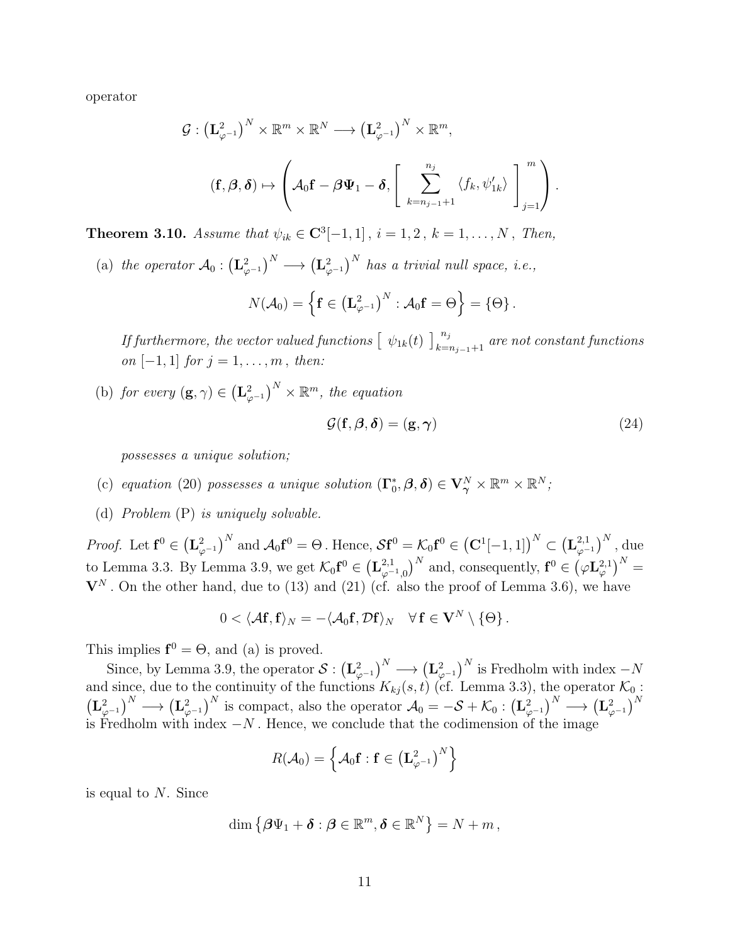operator

$$
\mathcal{G}: \left(\mathbf{L}_{\varphi^{-1}}^2\right)^N \times \mathbb{R}^m \times \mathbb{R}^N \longrightarrow \left(\mathbf{L}_{\varphi^{-1}}^2\right)^N \times \mathbb{R}^m,
$$

$$
(\mathbf{f}, \boldsymbol{\beta}, \boldsymbol{\delta}) \mapsto \left(\mathcal{A}_0 \mathbf{f} - \boldsymbol{\beta} \boldsymbol{\Psi}_1 - \boldsymbol{\delta}, \left[\sum_{k=n_{j-1}+1}^{n_j} \langle f_k, \psi'_{1k} \rangle \right]_{j=1}^m\right).
$$

**Theorem 3.10.** Assume that  $\psi_{ik} \in \mathbb{C}^{3}[-1,1]$ ,  $i = 1, 2$ ,  $k = 1, ..., N$ , Then,

(a) the operator  $A_0: (\mathbf{L}_{\varphi^{-1}}^2)^N \longrightarrow (\mathbf{L}_{\varphi^{-1}}^2)^N$  has a trivial null space, i.e.,

$$
N(\mathcal{A}_0)=\left\{\mathbf{f}\in \left(\mathbf{L}_{\varphi^{-1}}^2\right)^N:\mathcal{A}_0\mathbf{f}=\Theta\right\}=\left\{\Theta\right\}.
$$

If furthermore, the vector valued functions  $\left[\begin{array}{c} \psi_{1k}(t) \end{array}\right]_{k=n_{j-1}+1}^{n_j}$  are not constant functions *on* [−1, 1] *for*  $j = 1, ..., m$ , *then:* 

(b) for every  $(\mathbf{g}, \gamma) \in (\mathbf{L}^2_{\varphi^{-1}})^N \times \mathbb{R}^m$ , the equation

$$
\mathcal{G}(\mathbf{f}, \boldsymbol{\beta}, \boldsymbol{\delta}) = (\mathbf{g}, \boldsymbol{\gamma}) \tag{24}
$$

possesses a unique solution;

- (c) equation (20) possesses a unique solution  $(\Gamma_0^*)$  $(\hat{\theta}_0, \boldsymbol{\beta}, \boldsymbol{\delta}) \in \mathbf{V}_{\boldsymbol{\gamma}}^N \times \mathbb{R}^m \times \mathbb{R}^N;$
- (d) Problem (P) is uniquely solvable.

*Proof.* Let  $\mathbf{f}^0 \in (\mathbf{L}_{\varphi^{-1}}^2)^N$  and  $\mathcal{A}_0 \mathbf{f}^0 = \Theta$  . Hence,  $\mathcal{S} \mathbf{f}^0 = \mathcal{K}_0 \mathbf{f}^0 \in (\mathbf{C}^1[-1,1])^N \subset (\mathbf{L}_{\varphi^{-1}}^{2,1})^N$  $_{\varphi^{-1}}^{2,1})^N$  , due to Lemma 3.3. By Lemma 3.9, we get  $\mathcal{K}_0 \mathbf{f}^0 \in (\mathbf{L}_{\varphi}^{2,1})$  $(\varphi^{-1},0)^N$  and, consequently,  $\mathbf{f}^0 \in (\varphi \mathbf{L}^{2,1}_{\varphi})^N =$  $V^N$ . On the other hand, due to (13) and (21) (cf. also the proof of Lemma 3.6), we have

$$
0<\langle \mathcal{A}\mathbf{f},\mathbf{f}\rangle_N=-\langle \mathcal{A}_0\mathbf{f},\mathcal{D}\mathbf{f}\rangle_N\quad \forall\, \mathbf{f}\in \mathbf{V}^N\setminus\{\Theta\}\,.
$$

This implies  $f^0 = \Theta$ , and (a) is proved.

Since, by Lemma 3.9, the operator  $S: (\mathbf{L}_{\varphi^{-1}}^2)^N \longrightarrow (\mathbf{L}_{\varphi^{-1}}^2)^N$  is Fredholm with index  $-N$ and since, due to the continuity of the functions  $K_{kj}(s,t)$  (cf. Lemma 3.3), the operator  $\mathcal{K}_0$ :  $\left(\mathbf{L}_{\varphi^{-1}}^2\right)^N \longrightarrow \left(\mathbf{L}_{\varphi^{-1}}^2\right)^N$  is compact, also the operator  $\mathcal{A}_0 = -\mathcal{S} + \mathcal{K}_0 : \left(\mathbf{L}_{\varphi^{-1}}^2\right)^N \longrightarrow \left(\mathbf{L}_{\varphi^{-1}}^2\right)^N$ is Fredholm with index  $-N$ . Hence, we conclude that the codimension of the image

$$
R(\mathcal{A}_0) = \left\{ \mathcal{A}_0 \mathbf{f} : \mathbf{f} \in \left( \mathbf{L}_{\varphi^{-1}}^2 \right)^N \right\}
$$

is equal to N. Since

$$
\dim\left\{\boldsymbol{\beta}\Psi_1+\boldsymbol{\delta}:\boldsymbol{\beta}\in\mathbb{R}^m,\boldsymbol{\delta}\in\mathbb{R}^N\right\}=N+m\,,
$$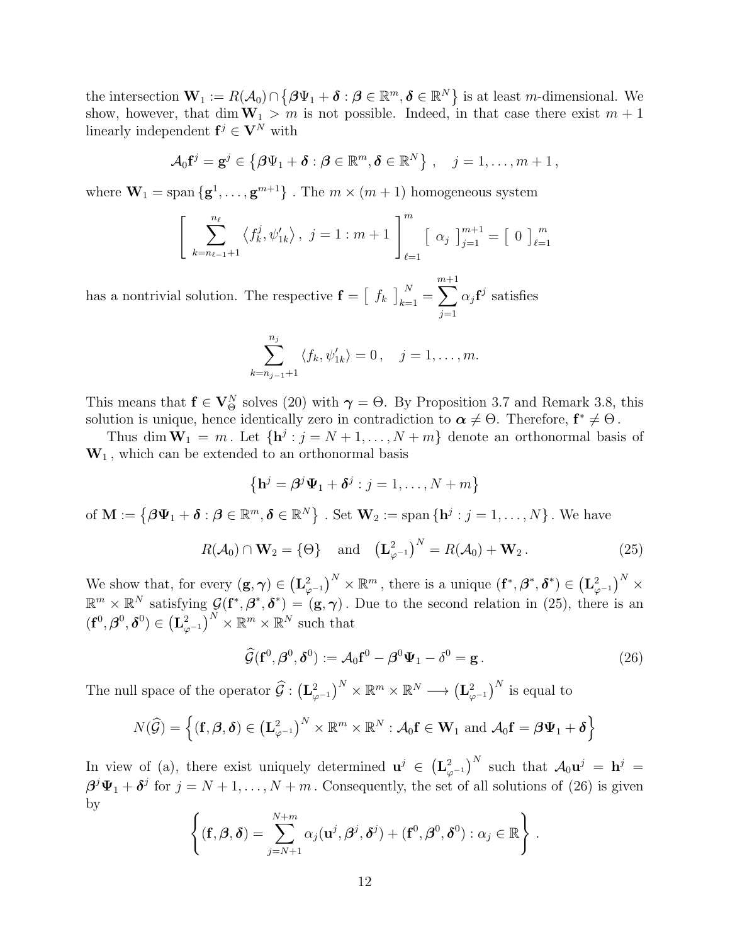the intersection  $\mathbf{W}_1 := R(A_0) \cap \{ \beta \Psi_1 + \boldsymbol{\delta} : \boldsymbol{\beta} \in \mathbb{R}^m, \boldsymbol{\delta} \in \mathbb{R}^N \}$  is at least *m*-dimensional. We show, however, that dim  $W_1 > m$  is not possible. Indeed, in that case there exist  $m + 1$ linearly independent  $f^j \in V^N$  with

$$
\mathcal{A}_0 \mathbf{f}^j = \mathbf{g}^j \in \{ \boldsymbol{\beta} \Psi_1 + \boldsymbol{\delta} : \boldsymbol{\beta} \in \mathbb{R}^m, \boldsymbol{\delta} \in \mathbb{R}^N \}, \quad j = 1, \ldots, m+1,
$$

where  $\mathbf{W}_1 = \text{span} \{ \mathbf{g}^1, \dots, \mathbf{g}^{m+1} \}$ . The  $m \times (m+1)$  homogeneous system

$$
\left[\sum_{k=n_{\ell-1}+1}^{n_{\ell}} \langle f_k^j, \psi'_{1k} \rangle, j=1 : m+1\right]_{\ell=1}^{m} \left[\alpha_j \right]_{j=1}^{m+1} = \left[\begin{array}{c} 0 \end{array}\right]_{\ell=1}^{m}
$$

has a nontrivial solution. The respective  $\mathbf{f} = \left[ \begin{array}{c} f_k \end{array} \right]_{k=1}^N =$ m $\sum$  $^{+1}$  $j=1$  $\alpha_j \mathbf{f}^j$  satisfies

$$
\sum_{k=n_{j-1}+1}^{n_j} \langle f_k, \psi'_{1k} \rangle = 0, \quad j=1,\ldots,m.
$$

This means that  $f \in V^N_\Theta$  solves (20) with  $\gamma = \Theta$ . By Proposition 3.7 and Remark 3.8, this solution is unique, hence identically zero in contradiction to  $\alpha \neq \Theta$ . Therefore,  $f^* \neq \Theta$ .

Thus dim  $W_1 = m$ . Let  $\{h^j : j = N + 1, ..., N + m\}$  denote an orthonormal basis of  $W_1$ , which can be extended to an orthonormal basis

$$
\left\{ \mathbf{h}^{j} = \boldsymbol{\beta}^{j} \boldsymbol{\Psi}_{1} + \boldsymbol{\delta}^{j} : j = 1, \ldots, N + m \right\}
$$

of  $\mathbf{M} := \{ \boldsymbol{\beta} \boldsymbol{\Psi}_1 + \boldsymbol{\delta} : \boldsymbol{\beta} \in \mathbb{R}^m, \boldsymbol{\delta} \in \mathbb{R}^N \}$  . Set  $\mathbf{W}_2 := \text{span} \{ \mathbf{h}^j : j = 1, \dots, N \}$ . We have

$$
R(\mathcal{A}_0) \cap \mathbf{W}_2 = \{ \Theta \} \quad \text{and} \quad \left( \mathbf{L}_{\varphi^{-1}}^2 \right)^N = R(\mathcal{A}_0) + \mathbf{W}_2 \,. \tag{25}
$$

We show that, for every  $(\mathbf{g}, \boldsymbol{\gamma}) \in \left(\mathbf{L}_{\varphi^{-1}}^2\right)^N \times \mathbb{R}^m$ , there is a unique  $(\mathbf{f}^*, \boldsymbol{\beta}^*, \boldsymbol{\delta}^*) \in \left(\mathbf{L}_{\varphi^{-1}}^2\right)^N \times$  $\mathbb{R}^m \times \mathbb{R}^N$  satisfying  $\mathcal{G}(\mathbf{f}^*, \boldsymbol{\beta}^*, \boldsymbol{\delta}^*) = (\mathbf{g}, \boldsymbol{\gamma})$ . Due to the second relation in (25), there is an  $(\mathbf{f}^0, \boldsymbol{\beta}^0, \boldsymbol{\delta}^0) \in (\mathbf{L}_{\varphi^{-1}}^2)^N \times \mathbb{R}^m \times \mathbb{R}^N$  such that

$$
\widehat{\mathcal{G}}(\mathbf{f}^0, \boldsymbol{\beta}^0, \boldsymbol{\delta}^0) := \mathcal{A}_0 \mathbf{f}^0 - \boldsymbol{\beta}^0 \boldsymbol{\Psi}_1 - \boldsymbol{\delta}^0 = \mathbf{g}.
$$
 (26)

The null space of the operator  $\widehat{G}$  :  $(\mathbf{L}_{\varphi^{-1}}^2)^N \times \mathbb{R}^m \times \mathbb{R}^N \longrightarrow (\mathbf{L}_{\varphi^{-1}}^2)^N$  is equal to

$$
N(\widehat{\mathcal{G}}) = \left\{ (\mathbf{f}, \boldsymbol{\beta}, \boldsymbol{\delta}) \in \left(\mathbf{L}_{\varphi^{-1}}^2\right)^N \times \mathbb{R}^m \times \mathbb{R}^N : \mathcal{A}_0\mathbf{f} \in \mathbf{W}_1 \text{ and } \mathcal{A}_0\mathbf{f} = \boldsymbol{\beta}\mathbf{\Psi}_1 + \boldsymbol{\delta} \right\}
$$

In view of (a), there exist uniquely determined  $\mathbf{u}^j \in (\mathbf{L}_{\varphi^{-1}}^2)^N$  such that  $\mathcal{A}_0 \mathbf{u}^j = \mathbf{h}^j =$  $\beta^j \Psi_1 + \delta^j$  for  $j = N + 1, \ldots, N + m$ . Consequently, the set of all solutions of (26) is given by

$$
\left\{ (\mathbf{f}, \boldsymbol{\beta}, \boldsymbol{\delta}) = \sum_{j=N+1}^{N+m} \alpha_j(\mathbf{u}^j, \boldsymbol{\beta}^j, \boldsymbol{\delta}^j) + (\mathbf{f}^0, \boldsymbol{\beta}^0, \boldsymbol{\delta}^0) : \alpha_j \in \mathbb{R} \right\}.
$$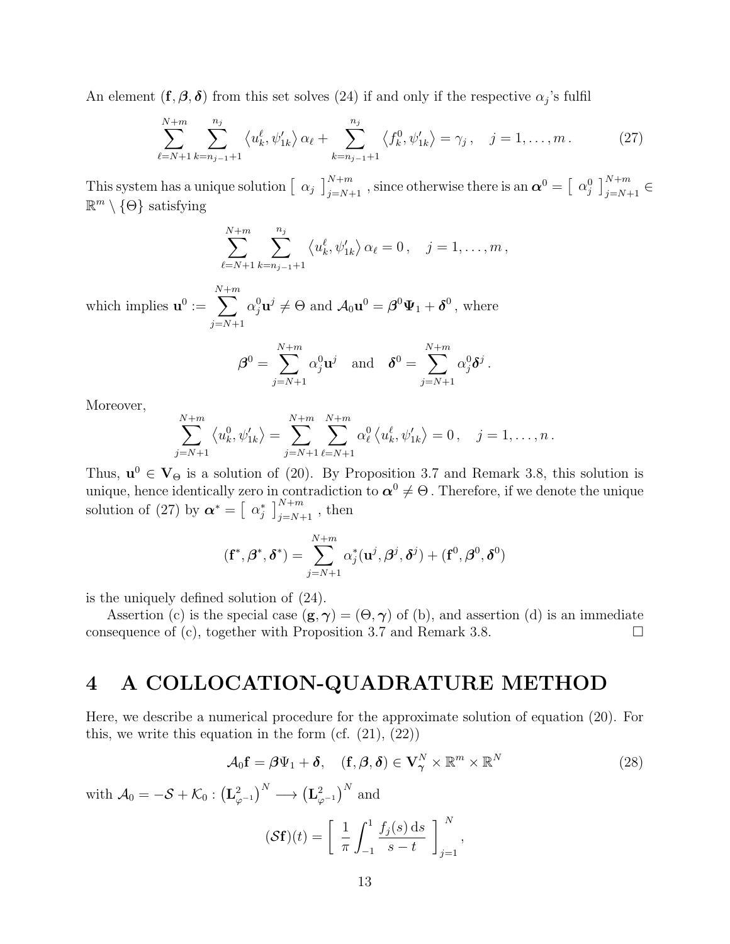An element  $(f, \beta, \delta)$  from this set solves (24) if and only if the respective  $\alpha_j$ 's fulfil

$$
\sum_{\ell=N+1}^{N+m} \sum_{k=n_{j-1}+1}^{n_j} \langle u_k^{\ell}, \psi_{1k}^{\prime} \rangle \alpha_{\ell} + \sum_{k=n_{j-1}+1}^{n_j} \langle f_k^0, \psi_{1k}^{\prime} \rangle = \gamma_j, \quad j = 1, \dots, m. \tag{27}
$$

This system has a unique solution  $\left[\begin{array}{c} \alpha_j \end{array}\right]_{j=N+1}^{N+m}$ , since otherwise there is an  $\boldsymbol{\alpha}^0 = \left[\begin{array}{c} \alpha_j^0 \end{array}\right]_{j=N+1}^{N+m} \in$  $\mathbb{R}^m \setminus \{\Theta\}$  satisfying

$$
\sum_{\ell=N+1}^{N+m} \sum_{k=n_{j-1}+1}^{n_j} \langle u_k^{\ell}, \psi'_{1k} \rangle \, \alpha_{\ell} = 0 \,, \quad j = 1, \dots, m \,,
$$

which implies  $\mathbf{u}^0 :=$ N  $\sum$  $+m$  $j = N+1$  $\alpha_j^0 \mathbf{u}^j \neq \Theta$  and  $\mathcal{A}_0 \mathbf{u}^0 = \boldsymbol{\beta}^0 \boldsymbol{\Psi}_1 + \boldsymbol{\delta}^0$ , where

$$
\boldsymbol{\beta}^0 = \sum_{j=N+1}^{N+m} \alpha_j^0 \mathbf{u}^j \quad \text{and} \quad \boldsymbol{\delta}^0 = \sum_{j=N+1}^{N+m} \alpha_j^0 \boldsymbol{\delta}^j.
$$

Moreover,

$$
\sum_{j=N+1}^{N+m} \left\langle u_k^0, \psi'_{1k} \right\rangle = \sum_{j=N+1}^{N+m} \sum_{\ell=N+1}^{N+m} \alpha_\ell^0 \left\langle u_k^\ell, \psi'_{1k} \right\rangle = 0, \quad j = 1, \dots, n.
$$

Thus,  $\mathbf{u}^0 \in \mathbf{V}_{\Theta}$  is a solution of (20). By Proposition 3.7 and Remark 3.8, this solution is unique, hence identically zero in contradiction to  $\alpha^0 \neq \Theta$ . Therefore, if we denote the unique solution of (27) by  $\boldsymbol{\alpha}^* = \left[ \begin{array}{c} \alpha_j^* \end{array} \right]_{j=N+1}^{N+m}$ , then

$$
(\mathbf{f}^*, \boldsymbol{\beta}^*, \boldsymbol{\delta}^*) = \sum_{j=N+1}^{N+m} \alpha_j^*(\mathbf{u}^j, \boldsymbol{\beta}^j, \boldsymbol{\delta}^j) + (\mathbf{f}^0, \boldsymbol{\beta}^0, \boldsymbol{\delta}^0)
$$

is the uniquely defined solution of (24).

Assertion (c) is the special case  $(g, \gamma) = (\Theta, \gamma)$  of (b), and assertion (d) is an immediate consequence of (c), together with Proposition 3.7 and Remark 3.8.  $\Box$ 

#### 4 A COLLOCATION-QUADRATURE METHOD

Here, we describe a numerical procedure for the approximate solution of equation (20). For this, we write this equation in the form  $(cf. (21), (22))$ 

$$
\mathcal{A}_0 \mathbf{f} = \boldsymbol{\beta} \Psi_1 + \boldsymbol{\delta}, \quad (\mathbf{f}, \boldsymbol{\beta}, \boldsymbol{\delta}) \in \mathbf{V}_\gamma^N \times \mathbb{R}^m \times \mathbb{R}^N \tag{28}
$$

with  $\mathcal{A}_0 = -\mathcal{S} + \mathcal{K}_0 : \left( \mathbf{L}_{\varphi^{-1}}^2 \right)^N \longrightarrow \left( \mathbf{L}_{\varphi^{-1}}^2 \right)^N$  and

$$
(\mathcal{S}\mathbf{f})(t) = \left[\frac{1}{\pi} \int_{-1}^{1} \frac{f_j(s) \, \mathrm{d}s}{s - t} \right]_{j=1}^{N},
$$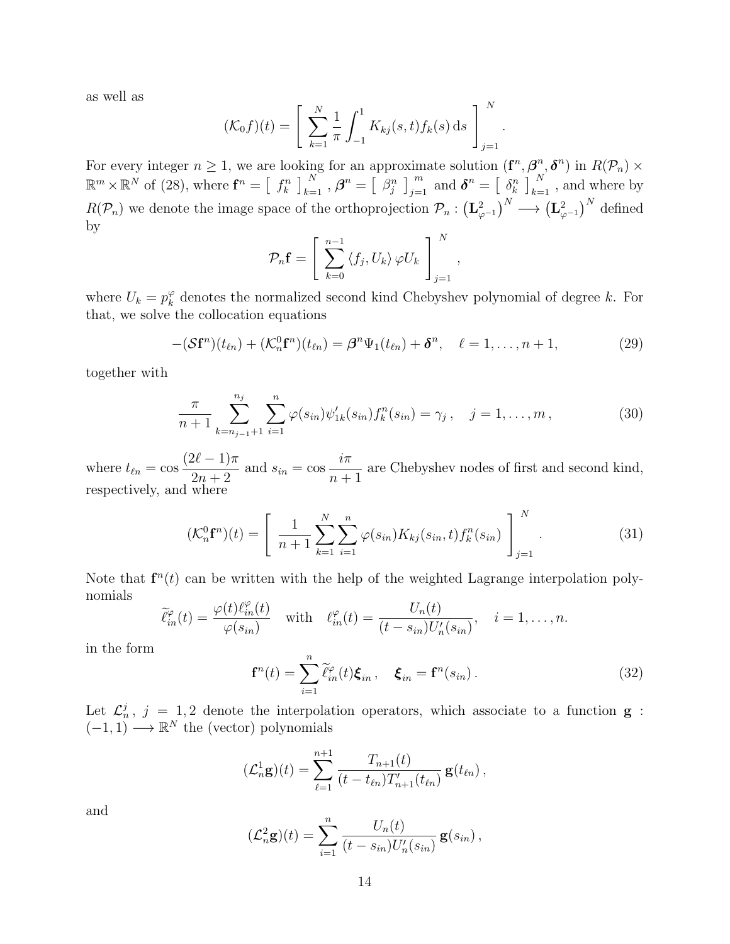as well as

$$
(\mathcal{K}_0 f)(t) = \left[ \sum_{k=1}^N \frac{1}{\pi} \int_{-1}^1 K_{kj}(s, t) f_k(s) \, ds \right]_{j=1}^N
$$

For every integer  $n \geq 1$ , we are looking for an approximate solution  $(\mathbf{f}^n, \beta^n, \delta^n)$  in  $R(\mathcal{P}_n) \times$  $\mathbb{R}^m \times \mathbb{R}^N$  of (28), where  $\mathbf{f}^n = \left[ \begin{array}{c} f_k^n \end{array} \right]_{k=1}^N$ ,  $\boldsymbol{\beta}^n = \left[ \begin{array}{c} \beta_j^n \end{array} \right]_{j=1}^m$  and  $\boldsymbol{\delta}^n = \left[ \begin{array}{c} \delta_k^n \end{array} \right]_{k=1}^N$ , and where by  $R(\mathcal{P}_n)$  we denote the image space of the orthoprojection  $\mathcal{P}_n: (\mathbf{L}_{\varphi^{-1}}^2)^N \longrightarrow (\mathbf{L}_{\varphi^{-1}}^2)^N$  defined by

$$
\mathcal{P}_n \mathbf{f} = \left[ \sum_{k=0}^{n-1} \langle f_j, U_k \rangle \, \varphi U_k \right]_{j=1}^N,
$$

where  $U_k = p_k^{\varphi}$  $\frac{\varphi}{k}$  denotes the normalized second kind Chebyshev polynomial of degree k. For that, we solve the collocation equations

$$
-(\mathcal{S}\mathbf{f}^n)(t_{\ell n}) + (\mathcal{K}_n^0\mathbf{f}^n)(t_{\ell n}) = \boldsymbol{\beta}^n\Psi_1(t_{\ell n}) + \boldsymbol{\delta}^n, \quad \ell = 1,\ldots,n+1,
$$
\n(29)

.

together with

$$
\frac{\pi}{n+1} \sum_{k=n_{j-1}+1}^{n_j} \sum_{i=1}^n \varphi(s_{in}) \psi'_{1k}(s_{in}) f_k^n(s_{in}) = \gamma_j, \quad j = 1, \dots, m,
$$
\n(30)

where  $t_{\ell n} = \cos$  $(2\ell - 1)\pi$  $\frac{2v-1}{2n+2}$  and  $s_{in} = \cos$ iπ  $n+1$ are Chebyshev nodes of first and second kind, respectively, and where

$$
(\mathcal{K}_n^0 \mathbf{f}^n)(t) = \left[ \frac{1}{n+1} \sum_{k=1}^N \sum_{i=1}^n \varphi(s_{in}) K_{kj}(s_{in}, t) f_k^n(s_{in}) \right]_{j=1}^N.
$$
 (31)

Note that  $f^{n}(t)$  can be written with the help of the weighted Lagrange interpolation polynomials

$$
\widetilde{\ell}_{in}^{\varphi}(t) = \frac{\varphi(t)\ell_{in}^{\varphi}(t)}{\varphi(s_{in})} \quad \text{with} \quad \ell_{in}^{\varphi}(t) = \frac{U_n(t)}{(t - s_{in})U_n'(s_{in})}, \quad i = 1, \dots, n.
$$

in the form

$$
\mathbf{f}^{n}(t) = \sum_{i=1}^{n} \widetilde{\ell}_{in}^{\varphi}(t)\boldsymbol{\xi}_{in}, \quad \boldsymbol{\xi}_{in} = \mathbf{f}^{n}(s_{in}).
$$
\n(32)

Let  $\mathcal{L}_n^j$ ,  $j = 1, 2$  denote the interpolation operators, which associate to a function **g**:  $(-1, 1) \longrightarrow \mathbb{R}^N$  the (vector) polynomials

$$
(\mathcal{L}_n^1 \mathbf{g})(t) = \sum_{\ell=1}^{n+1} \frac{T_{n+1}(t)}{(t - t_{\ell n})T'_{n+1}(t_{\ell n})} \mathbf{g}(t_{\ell n}),
$$

and

$$
(\mathcal{L}_n^2 \mathbf{g})(t) = \sum_{i=1}^n \frac{U_n(t)}{(t - s_{in})U'_n(s_{in})} \mathbf{g}(s_{in}),
$$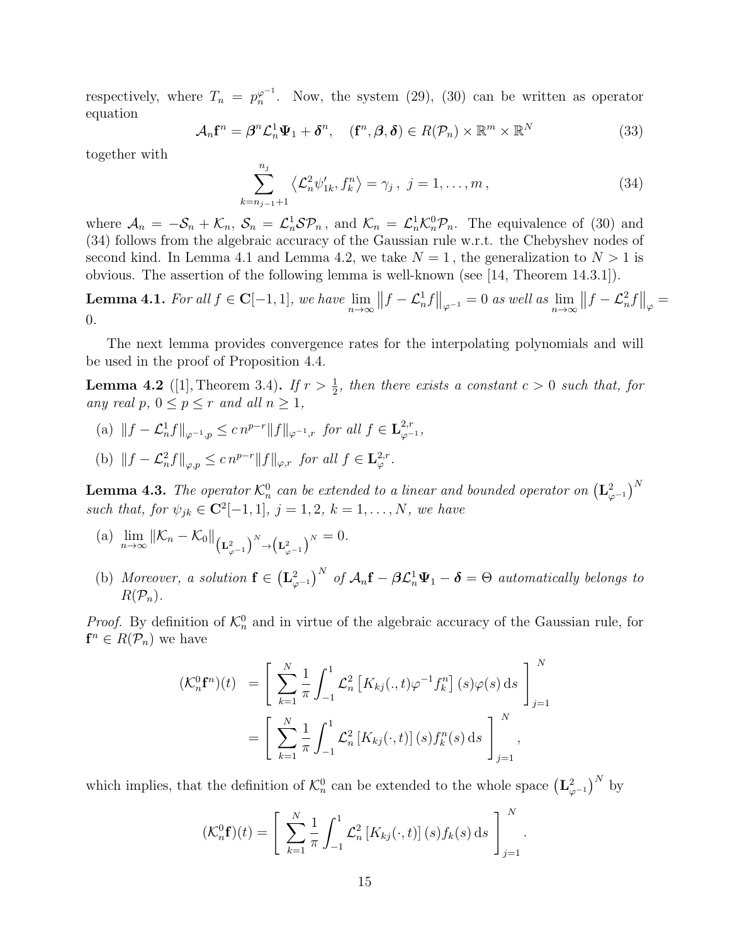respectively, where  $T_n = p_n^{\varphi^{-1}}$ . Now, the system (29), (30) can be written as operator equation

$$
\mathcal{A}_n \mathbf{f}^n = \boldsymbol{\beta}^n \mathcal{L}_n^1 \boldsymbol{\Psi}_1 + \boldsymbol{\delta}^n, \quad (\mathbf{f}^n, \boldsymbol{\beta}, \boldsymbol{\delta}) \in R(\mathcal{P}_n) \times \mathbb{R}^m \times \mathbb{R}^N \tag{33}
$$

together with

$$
\sum_{k=n_{j-1}+1}^{n_j} \langle \mathcal{L}_n^2 \psi'_{1k}, f_k^n \rangle = \gamma_j, \ j = 1, \dots, m,
$$
 (34)

where  $A_n = -S_n + \mathcal{K}_n$ ,  $S_n = \mathcal{L}_n^1 \mathcal{S} \mathcal{P}_n$ , and  $\mathcal{K}_n = \mathcal{L}_n^1 \mathcal{K}_n^0 \mathcal{P}_n$ . The equivalence of (30) and (34) follows from the algebraic accuracy of the Gaussian rule w.r.t. the Chebyshev nodes of second kind. In Lemma 4.1 and Lemma 4.2, we take  $N = 1$ , the generalization to  $N > 1$  is obvious. The assertion of the following lemma is well-known (see [14, Theorem 14.3.1]).

**Lemma 4.1.** For all  $f \in \mathbf{C}[-1,1]$ , we have  $\lim_{n\to\infty}||f-\mathcal{L}_n^1f||_{\varphi^{-1}}=0$  as well as  $\lim_{n\to\infty}||f-\mathcal{L}_n^2f||_{\varphi}=0$ 0.

The next lemma provides convergence rates for the interpolating polynomials and will be used in the proof of Proposition 4.4.

**Lemma 4.2** ([1], Theorem 3.4). If  $r > \frac{1}{2}$ , then there exists a constant  $c > 0$  such that, for any real p,  $0 \le p \le r$  and all  $n \ge 1$ ,

(a)  $||f - \mathcal{L}_n^1 f||_{\varphi^{-1},p} \leq c n^{p-r} ||f||_{\varphi^{-1},r}$  for all  $f \in \mathbf{L}_{\varphi^{-1}}^{2,r}$ ,

(b) 
$$
||f - \mathcal{L}_n^2 f||_{\varphi, p} \leq c n^{p-r} ||f||_{\varphi, r}
$$
 for all  $f \in \mathbf{L}_{\varphi}^{2,r}$ .

**Lemma 4.3.** The operator  $\mathcal{K}_n^0$  can be extended to a linear and bounded operator on  $\left(\mathbf{L}_{\varphi^{-1}}^2\right)^N$ such that, for  $\psi_{jk} \in \mathbb{C}^2[-1,1], j = 1,2, k = 1, \ldots, N$ , we have

- (a)  $\lim_{n \to \infty} ||\mathcal{K}_n \mathcal{K}_0||_{\left(\mathbf{L}_{\varphi^{-1}}^2\right)^N \to \left(\mathbf{L}_{\varphi^{-1}}^2\right)^N} = 0.$
- (b) Moreover, a solution  $f \in (L^2_{\varphi^{-1}})^N$  of  $\mathcal{A}_n f \beta \mathcal{L}^1_n \Psi_1 \delta = \Theta$  automatically belongs to  $R(\mathcal{P}_n)$ .

*Proof.* By definition of  $\mathcal{K}_n^0$  and in virtue of the algebraic accuracy of the Gaussian rule, for  $f^n \in R(\mathcal{P}_n)$  we have

$$
(\mathcal{K}_n^0 \mathbf{f}^n)(t) = \left[ \sum_{k=1}^N \frac{1}{\pi} \int_{-1}^1 \mathcal{L}_n^2 \left[ K_{kj}(.,t) \varphi^{-1} f_k^n \right](s) \varphi(s) ds \right]_{j=1}^N
$$
  
= 
$$
\left[ \sum_{k=1}^N \frac{1}{\pi} \int_{-1}^1 \mathcal{L}_n^2 \left[ K_{kj}(.,t) \right](s) f_k^n(s) ds \right]_{j=1}^N,
$$

which implies, that the definition of  $\mathcal{K}_n^0$  can be extended to the whole space  $(\mathbf{L}_{\varphi^{-1}}^2)^N$  by

$$
(\mathcal{K}_n^0 \mathbf{f})(t) = \left[ \sum_{k=1}^N \frac{1}{\pi} \int_{-1}^1 \mathcal{L}_n^2 \left[ K_{kj}(\cdot, t) \right](s) f_k(s) \, ds \right]_{j=1}^N.
$$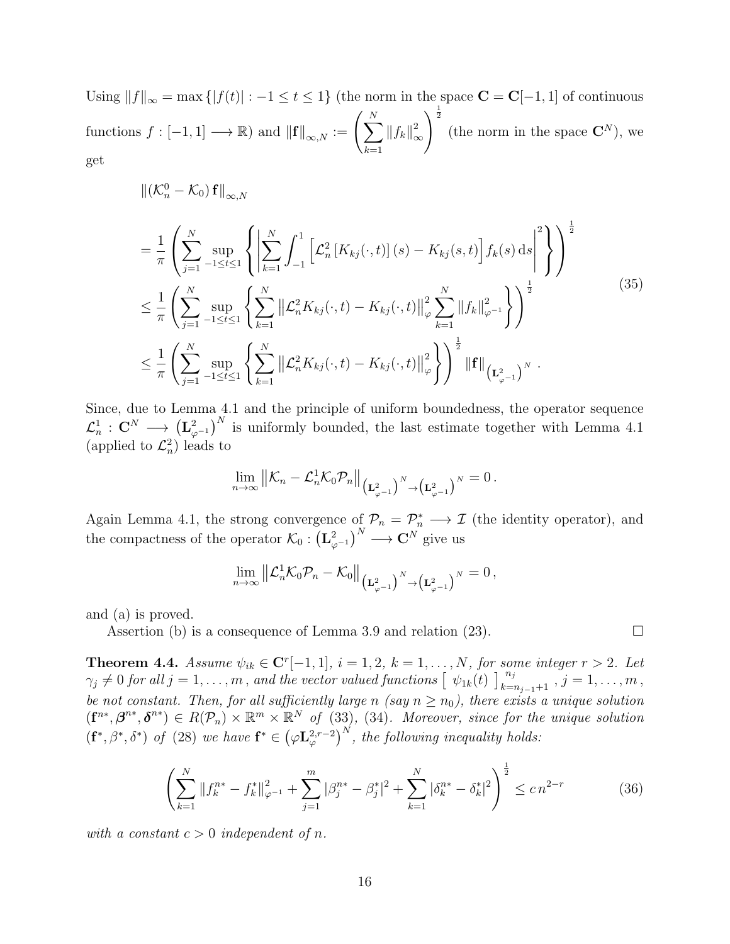Using  $||f||_{\infty} = \max\{|f(t)| : -1 \le t \le 1\}$  (the norm in the space  $\mathbf{C} = \mathbf{C}[-1, 1]$  of continuous functions  $f: [-1,1] \longrightarrow \mathbb{R}$  and  $\left\| \mathbf{f} \right\|_{\infty,N} := \left( \sum_{i=1}^{N} \mathbf{f}(i) \right)^{N}$  $k=1$  $\left\Vert f_{k}\right\Vert _{\infty}^{2}$ ∞  $\sqrt{\frac{1}{2}}$ (the norm in the space  $\mathbf{C}^{N}$ ), we get

$$
\begin{split}\n&\left\| \left( \mathcal{K}_{n}^{0} - \mathcal{K}_{0} \right) \mathbf{f} \right\|_{\infty, N} \\
&= \frac{1}{\pi} \left( \sum_{j=1}^{N} \sup_{-1 \leq t \leq 1} \left\{ \left| \sum_{k=1}^{N} \int_{-1}^{1} \left[ \mathcal{L}_{n}^{2} \left[ K_{kj}(\cdot, t) \right] (s) - K_{kj}(s, t) \right] f_{k}(s) \, ds \right|^{2} \right\} \right)^{\frac{1}{2}} \\
&\leq \frac{1}{\pi} \left( \sum_{j=1}^{N} \sup_{-1 \leq t \leq 1} \left\{ \sum_{k=1}^{N} \left\| \mathcal{L}_{n}^{2} K_{kj}(\cdot, t) - K_{kj}(\cdot, t) \right\|_{\varphi}^{2} \sum_{k=1}^{N} \left\| f_{k} \right\|_{\varphi^{-1}}^{2} \right\} \right)^{\frac{1}{2}} \\
&\leq \frac{1}{\pi} \left( \sum_{j=1}^{N} \sup_{-1 \leq t \leq 1} \left\{ \sum_{k=1}^{N} \left\| \mathcal{L}_{n}^{2} K_{kj}(\cdot, t) - K_{kj}(\cdot, t) \right\|_{\varphi}^{2} \right\} \right)^{\frac{1}{2}} \left\| \mathbf{f} \right\|_{\left( \mathbf{L}_{\varphi^{-1}}^{2} \right)^{N}}.\n\end{split} \tag{35}
$$

Since, due to Lemma 4.1 and the principle of uniform boundedness, the operator sequence  $\mathcal{L}_n^1$  :  $\mathbf{C}^N \longrightarrow (\mathbf{L}_{\varphi^{-1}}^2)^N$  is uniformly bounded, the last estimate together with Lemma 4.1 (applied to  $\mathcal{L}_n^2$ ) leads to

$$
\lim_{n\to\infty}\left\|\mathcal{K}_n-\mathcal{L}_n^1\mathcal{K}_0\mathcal{P}_n\right\|_{\left(\mathbf{L}_{\varphi^{-1}}^2\right)^N\to\left(\mathbf{L}_{\varphi^{-1}}^2\right)^N}=0\,.
$$

Again Lemma 4.1, the strong convergence of  $\mathcal{P}_n = \mathcal{P}_n^* \longrightarrow \mathcal{I}$  (the identity operator), and the compactness of the operator  $\mathcal{K}_0: \left(\mathbf{L}_{\varphi^{-1}}^2\right)^N \longrightarrow \mathbf{C}^N$  give us

$$
\lim_{n\to\infty}\left\|\mathcal{L}_{n}^1\mathcal{K}_0\mathcal{P}_n-\mathcal{K}_0\right\|_{\left(\mathbf{L}_{\varphi^{-1}}^2\right)^N\to\left(\mathbf{L}_{\varphi^{-1}}^2\right)^N}=0\,,
$$

and (a) is proved.

Assertion (b) is a consequence of Lemma 3.9 and relation (23).  $\Box$ 

**Theorem 4.4.** Assume  $\psi_{ik} \in \mathbb{C}^r[-1,1], i = 1,2, k = 1,\ldots,N$ , for some integer  $r > 2$ . Let  $\gamma_j \neq 0$  for all  $j = 1, \ldots, m$ , and the vector valued functions  $\left[\begin{array}{c} \psi_{1k}(t) \end{array}\right]_{k=n_{j-1}+1}^{n_j}$ ,  $j = 1, \ldots, m$ , be not constant. Then, for all sufficiently large n (say  $n \ge n_0$ ), there exists a unique solution  $(f^{n*}, \beta^{n*}, \delta^{n*}) \in R(\mathcal{P}_n) \times \mathbb{R}^m \times \mathbb{R}^N$  of (33), (34). Moreover, since for the unique solution  $(f^*,\beta^*,\delta^*)$  of (28) we have  $f^* \in (\varphi L^{2,r-2}_{\varphi})^N$ , the following inequality holds:

$$
\left(\sum_{k=1}^{N} \|f_k^{n*} - f_k^*\|_{\varphi^{-1}}^2 + \sum_{j=1}^{m} |\beta_j^{n*} - \beta_j^*|^2 + \sum_{k=1}^{N} |\delta_k^{n*} - \delta_k^*|^2\right)^{\frac{1}{2}} \le cn^{2-r} \tag{36}
$$

with a constant  $c > 0$  independent of n.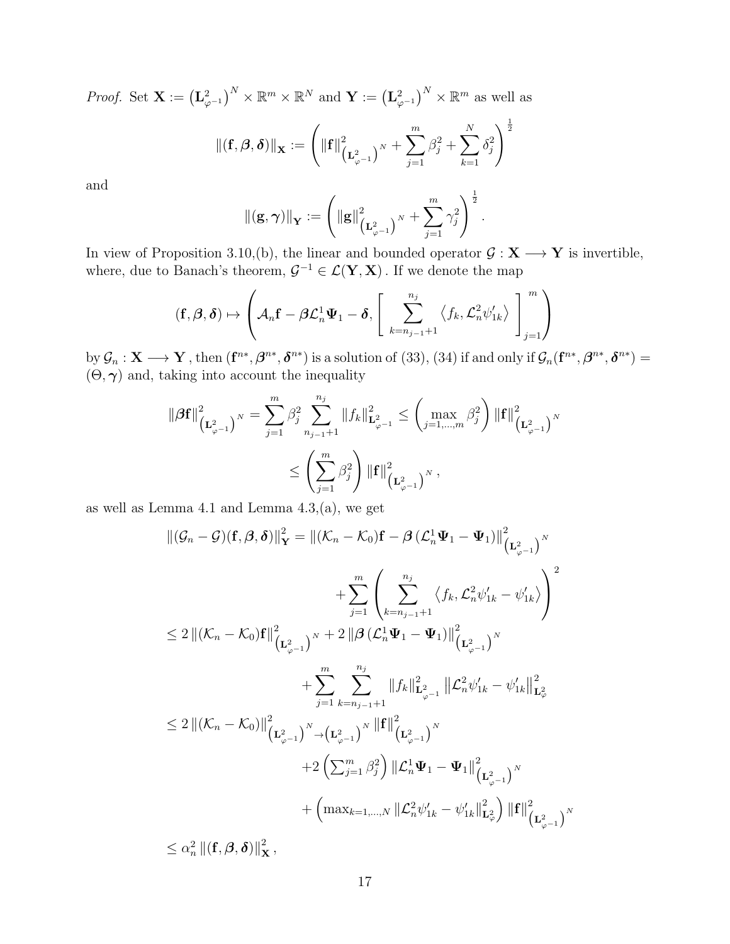*Proof.* Set  $\mathbf{X} := (\mathbf{L}_{\varphi^{-1}}^2)^N \times \mathbb{R}^m \times \mathbb{R}^N$  and  $\mathbf{Y} := (\mathbf{L}_{\varphi^{-1}}^2)^N \times \mathbb{R}^m$  as well as

$$
\left\| \left( \mathbf{f}, \boldsymbol{\beta}, \boldsymbol{\delta} \right) \right\|_{\mathbf{X}} := \left( \left\| \mathbf{f} \right\|_{\left( \mathbf{L}^2_{\varphi^{-1}} \right)^N}^2 + \sum_{j=1}^m \beta_j^2 + \sum_{k=1}^N \delta_j^2 \right)^{\frac{1}{2}}
$$

and

$$
\|(\mathbf{g},\boldsymbol{\gamma})\|_{\mathbf{Y}}:=\left(\|\mathbf{g}\|^{2}_{\left(\mathbf{L}^{2}_{\varphi^{-1}}\right)^{N}}+\sum_{j=1}^{m}\gamma_{j}^{2}\right)^{\frac{1}{2}}.
$$

In view of Proposition 3.10,(b), the linear and bounded operator  $\mathcal{G}: \mathbf{X} \longrightarrow \mathbf{Y}$  is invertible, where, due to Banach's theorem,  $\mathcal{G}^{-1} \in \mathcal{L}(\mathbf{Y}, \mathbf{X})$ . If we denote the map

$$
(\mathbf{f}, \boldsymbol{\beta}, \boldsymbol{\delta}) \mapsto \left( \mathcal{A}_n \mathbf{f} - \boldsymbol{\beta} \mathcal{L}_n^1 \boldsymbol{\Psi}_1 - \boldsymbol{\delta}, \left[ \sum_{k=n_{j-1}+1}^{n_j} \langle f_k, \mathcal{L}_n^2 \psi'_{1k} \rangle \right]_{j=1}^m \right)
$$

by  $\mathcal{G}_n : \mathbf{X} \longrightarrow \mathbf{Y}$ , then  $(\mathbf{f}^{n*}, \boldsymbol{\beta}^{n*}, \boldsymbol{\delta}^{n*})$  is a solution of  $(33)$ ,  $(34)$  if and only if  $\mathcal{G}_n(\mathbf{f}^{n*}, \boldsymbol{\beta}^{n*}, \boldsymbol{\delta}^{n*}) =$  $(\Theta, \gamma)$  and, taking into account the inequality

$$
\|\beta \mathbf{f}\|_{\left(\mathbf{L}^2_{\varphi^{-1}}\right)^N}^2 = \sum_{j=1}^m \beta_j^2 \sum_{n_{j-1}+1}^{n_j} \|f_k\|_{\mathbf{L}^2_{\varphi^{-1}}}^2 \le \left(\max_{j=1,\dots,m} \beta_j^2\right) \|\mathbf{f}\|_{\left(\mathbf{L}^2_{\varphi^{-1}}\right)^N}^2
$$
  

$$
\le \left(\sum_{j=1}^m \beta_j^2\right) \|\mathbf{f}\|_{\left(\mathbf{L}^2_{\varphi^{-1}}\right)^N}^2,
$$

as well as Lemma 4.1 and Lemma  $4.3$ ,  $(a)$ , we get

$$
\begin{split}\n\|(\mathcal{G}_{n} - \mathcal{G})(\mathbf{f}, \mathcal{B}, \delta)\|_{\mathbf{Y}}^{2} &= \|\left(\mathcal{K}_{n} - \mathcal{K}_{0}\right)\mathbf{f} - \mathcal{B}\left(\mathcal{L}_{n}^{1}\Psi_{1} - \Psi_{1}\right)\|_{\left(\mathbf{L}_{\varphi-1}^{2}\right)^{N}}^{2} \\
&\quad + \sum_{j=1}^{m} \left(\sum_{k=n_{j-1}+1}^{n_{j}} \langle f_{k}, \mathcal{L}_{n}^{2}\psi'_{1k} - \psi'_{1k} \rangle\right)^{2} \\
&\le 2\left\|\left(\mathcal{K}_{n} - \mathcal{K}_{0}\right)\mathbf{f}\right\|_{\left(\mathbf{L}_{\varphi-1}^{2}\right)^{N}}^{2} + 2\left\|\mathcal{B}\left(\mathcal{L}_{n}^{1}\Psi_{1} - \Psi_{1}\right)\right\|_{\left(\mathbf{L}_{\varphi-1}^{2}\right)^{N}}^{2} \\
&\quad + \sum_{j=1}^{m} \sum_{k=n_{j-1}+1}^{n_{j}} \left\|f_{k}\right\|_{\mathbf{L}_{\varphi-1}^{2}}^{2} \left\|\mathcal{L}_{n}^{2}\psi'_{1k} - \psi'_{1k}\right\|_{\mathbf{L}_{\varphi}^{2}}^{2} \\
&\le 2\left\|\left(\mathcal{K}_{n} - \mathcal{K}_{0}\right)\right\|_{\left(\mathbf{L}_{\varphi-1}^{2}\right)^{N}}^{2} \right. \\
&\quad + 2\left(\sum_{j=1}^{m} \beta_{j}^{2}\right) \left\|\mathcal{L}_{n}^{1}\Psi_{1} - \Psi_{1}\right\|_{\left(\mathbf{L}_{\varphi-1}^{2}\right)^{N}}^{2} \\
&\quad + \left(\max_{k=1,\dots,N} \|\mathcal{L}_{n}^{2}\psi'_{1k} - \psi'_{1k}\|_{\mathbf{L}_{\varphi}^{2}}^{2}\right) \|\mathbf{f}\|_{\left(\mathbf{L}_{\varphi-1}^{2}\right)^{N}}^{2} \\
&\le \alpha_{n}^{2} \left\|\left(\mathbf{f}, \mathcal{B}, \delta\right)\right\|_{\mathbf{X}}^{2},\n\end{split}
$$

17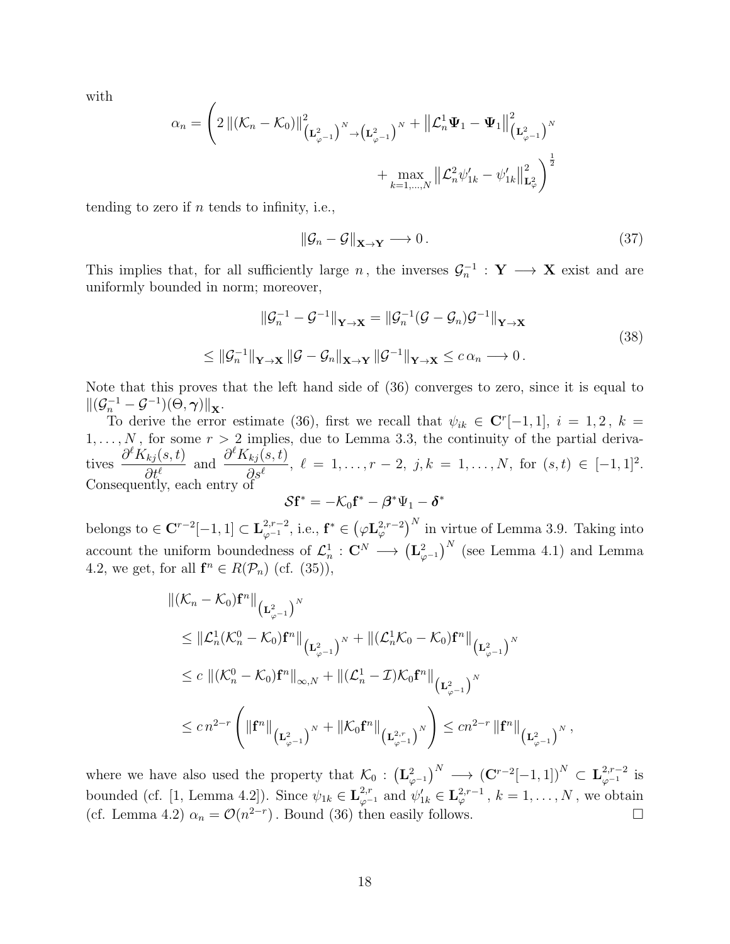with

$$
\alpha_n = \left(2\left\|(\mathcal{K}_n - \mathcal{K}_0)\right\|_{\left(\mathbf{L}_{\varphi^{-1}}^2\right)^N \to \left(\mathbf{L}_{\varphi^{-1}}^2\right)^N}^2 + \left\|\mathcal{L}_n^1 \Psi_1 - \Psi_1\right\|_{\left(\mathbf{L}_{\varphi^{-1}}^2\right)^N}^2 + \max_{k=1,\dots,N} \left\|\mathcal{L}_n^2 \psi'_{1k} - \psi'_{1k}\right\|_{\mathbf{L}_{\varphi}^2}^2\right)^{\frac{1}{2}}
$$

tending to zero if  $n$  tends to infinity, i.e.,

$$
\|\mathcal{G}_n - \mathcal{G}\|_{\mathbf{X} \to \mathbf{Y}} \longrightarrow 0. \tag{37}
$$

This implies that, for all sufficiently large n, the inverses  $\mathcal{G}_n^{-1}$  :  $\mathbf{Y} \longrightarrow \mathbf{X}$  exist and are uniformly bounded in norm; moreover,

$$
\|\mathcal{G}_n^{-1} - \mathcal{G}^{-1}\|_{\mathbf{Y}\to\mathbf{X}} = \|\mathcal{G}_n^{-1}(\mathcal{G} - \mathcal{G}_n)\mathcal{G}^{-1}\|_{\mathbf{Y}\to\mathbf{X}}
$$
  
\n
$$
\leq \|\mathcal{G}_n^{-1}\|_{\mathbf{Y}\to\mathbf{X}} \|\mathcal{G} - \mathcal{G}_n\|_{\mathbf{X}\to\mathbf{Y}} \|\mathcal{G}^{-1}\|_{\mathbf{Y}\to\mathbf{X}} \leq c \alpha_n \longrightarrow 0.
$$
\n(38)

Note that this proves that the left hand side of (36) converges to zero, since it is equal to  $\|(\mathcal{G}_n^{-1}-\mathcal{G}^{-1})(\Theta,\boldsymbol{\gamma})\|_{\mathbf{X}}.$ 

To derive the error estimate (36), first we recall that  $\psi_{ik} \in \mathbb{C}^{r}[-1,1], i = 1,2, k =$  $1, \ldots, N$ , for some  $r > 2$  implies, due to Lemma 3.3, the continuity of the partial derivatives  $\partial^{\ell}K_{kj}(s,t)$  $\partial t^{\ell}$ and  $\frac{\partial^{\ell} K_{kj}(s,t)}{\partial \ell}$  $\partial_s s^\ell$ ,  $\ell = 1, \ldots, r - 2, j, k = 1, \ldots, N$ , for  $(s, t) \in [-1, 1]^2$ . Consequently, each entry of

$$
\mathcal{S}\mathbf{f}^* = -\mathcal{K}_0\mathbf{f}^* - \boldsymbol{\beta}^*\Psi_1 - \boldsymbol{\delta}^*
$$

belongs to  $\in \mathbb{C}^{r-2}[-1,1] \subset \mathbf{L}_{\varphi^{-1}}^{2,r-2}$ , i.e.,  $\mathbf{f}^* \in (\varphi \mathbf{L}_{\varphi}^{2,r-2})^N$  in virtue of Lemma 3.9. Taking into account the uniform boundedness of  $\mathcal{L}_n^1$  :  $\mathbf{C}^N \longrightarrow (\mathbf{L}_{\varphi^{-1}}^2)^N$  (see Lemma 4.1) and Lemma 4.2, we get, for all  $\mathbf{f}^n \in R(\mathcal{P}_n)$  (cf. (35)),

$$
\|\left(\mathcal{K}_{n}-\mathcal{K}_{0}\right)\mathbf{f}^{n}\|_{\left(\mathbf{L}^{2}_{\varphi^{-1}}\right)^{N}}
$$
\n
$$
\leq\|\mathcal{L}^{1}_{n}(\mathcal{K}^{0}_{n}-\mathcal{K}_{0})\mathbf{f}^{n}\|_{\left(\mathbf{L}^{2}_{\varphi^{-1}}\right)^{N}}+\|\left(\mathcal{L}^{1}_{n}\mathcal{K}_{0}-\mathcal{K}_{0}\right)\mathbf{f}^{n}\|_{\left(\mathbf{L}^{2}_{\varphi^{-1}}\right)^{N}}
$$
\n
$$
\leq c\|\left(\mathcal{K}^{0}_{n}-\mathcal{K}_{0}\right)\mathbf{f}^{n}\|_{\infty,N}+\|\left(\mathcal{L}^{1}_{n}-\mathcal{I}\right)\mathcal{K}_{0}\mathbf{f}^{n}\|_{\left(\mathbf{L}^{2}_{\varphi^{-1}}\right)^{N}}
$$
\n
$$
\leq c\,n^{2-r}\left(\|\mathbf{f}^{n}\|_{\left(\mathbf{L}^{2}_{\varphi^{-1}}\right)^{N}}+\|\mathcal{K}_{0}\mathbf{f}^{n}\|_{\left(\mathbf{L}^{2,r}_{\varphi^{-1}}\right)^{N}}\right)\leq cn^{2-r}\,\|\mathbf{f}^{n}\|_{\left(\mathbf{L}^{2}_{\varphi^{-1}}\right)^{N}},
$$

where we have also used the property that  $\mathcal{K}_0: (\mathbf{L}_{\varphi^{-1}}^2)^N \longrightarrow (\mathbf{C}^{r-2}[-1,1])^N \subset \mathbf{L}_{\varphi^{-1}}^{2,r-2}$  is bounded (cf. [1, Lemma 4.2]). Since  $\psi_{1k} \in \mathbf{L}_{\varphi^{-1}}^{2,r}$  and  $\psi'_{1k} \in \mathbf{L}_{\varphi}^{2,r-1}$ ,  $k = 1, \ldots, N$ , we obtain (cf. Lemma 4.2)  $\alpha_n = \mathcal{O}(n^{2-r})$ . Bound (36) then easily follows.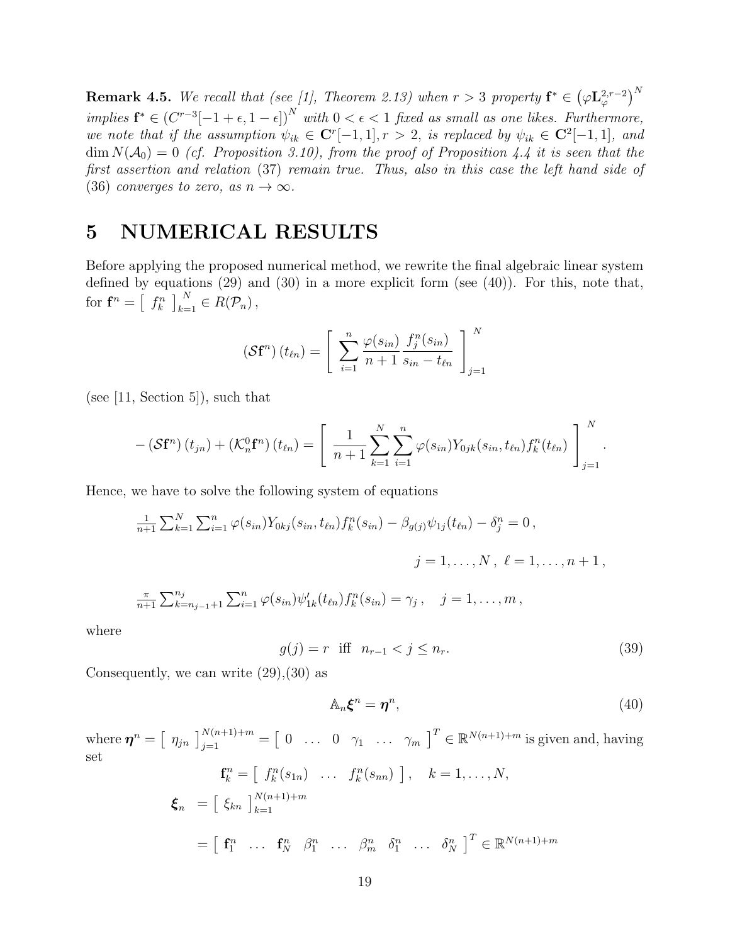**Remark 4.5.** We recall that (see [1], Theorem 2.13) when  $r > 3$  property  $\mathbf{f}^* \in (\varphi \mathbf{L}^{2,r-2}_\varphi)^N$ implies  $\mathbf{f}^* \in (C^{r-3}[-1+\epsilon,1-\epsilon])^N$  with  $0 < \epsilon < 1$  fixed as small as one likes. Furthermore, we note that if the assumption  $\psi_{ik} \in \mathbb{C}^{r}[-1,1], r > 2$ , is replaced by  $\psi_{ik} \in \mathbb{C}^{2}[-1,1],$  and  $\dim N(\mathcal{A}_0) = 0$  (cf. Proposition 3.10), from the proof of Proposition 4.4 it is seen that the first assertion and relation (37) remain true. Thus, also in this case the left hand side of (36) converges to zero, as  $n \to \infty$ .

#### 5 NUMERICAL RESULTS

Before applying the proposed numerical method, we rewrite the final algebraic linear system defined by equations  $(29)$  and  $(30)$  in a more explicit form (see  $(40)$ ). For this, note that, for  $\mathbf{f}^n = \left[ \begin{array}{c} f_k^n \end{array} \right]_{k=1}^N \in R(\mathcal{P}_n)$ ,

$$
\left(\mathbf{S}\mathbf{f}^{n}\right)(t_{\ell n}) = \left[\sum_{i=1}^{n} \frac{\varphi(s_{i n})}{n+1} \frac{f_{j}^{n}(s_{i n})}{s_{i n}-t_{\ell n}}\right]_{j=1}^{N}
$$

(see [11, Section 5]), such that

$$
-(\mathcal{S}\mathbf{f}^{n})(t_{jn})+(\mathcal{K}_{n}^{0}\mathbf{f}^{n})(t_{\ell n})=\left[\frac{1}{n+1}\sum_{k=1}^{N}\sum_{i=1}^{n}\varphi(s_{in})Y_{0jk}(s_{in},t_{\ell n})f_{k}^{n}(t_{\ell n})\right]_{j=1}^{N}.
$$

Hence, we have to solve the following system of equations

$$
\frac{1}{n+1} \sum_{k=1}^{N} \sum_{i=1}^{n} \varphi(s_{in}) Y_{0kj}(s_{in}, t_{\ell n}) f_k^n(s_{in}) - \beta_{g(j)} \psi_{1j}(t_{\ell n}) - \delta_j^n = 0,
$$
  

$$
j = 1, ..., N, \ \ell = 1, ..., n+1,
$$

$$
\frac{\pi}{n+1} \sum_{k=n_{j-1}+1}^{n_j} \sum_{i=1}^n \varphi(s_{in}) \psi'_{1k}(t_{\ell n}) f_k^n(s_{in}) = \gamma_j, \quad j=1,\ldots,m,
$$

where

$$
g(j) = r \text{ iff } n_{r-1} < j \le n_r. \tag{39}
$$

Consequently, we can write  $(29),(30)$  as

$$
\mathbb{A}_n \boldsymbol{\xi}^n = \boldsymbol{\eta}^n, \tag{40}
$$

where  $\boldsymbol{\eta}^n = \begin{bmatrix} \eta_{jn} \end{bmatrix}_{j=1}^{N(n+1)+m} = \begin{bmatrix} 0 & \dots & 0 & \gamma_1 & \dots & \gamma_m \end{bmatrix}^T \in \mathbb{R}^{N(n+1)+m}$  is given and, having set

$$
\mathbf{f}_{k}^{n} = \begin{bmatrix} f_{k}^{n}(s_{1n}) & \dots & f_{k}^{n}(s_{nn}) \end{bmatrix}, \quad k = 1, \dots, N,
$$
  

$$
\boldsymbol{\xi}_{n} = \begin{bmatrix} \xi_{kn} \end{bmatrix}_{k=1}^{N(n+1)+m}
$$
  

$$
= \begin{bmatrix} \mathbf{f}_{1}^{n} & \dots & \mathbf{f}_{N}^{n} & \beta_{1}^{n} & \dots & \beta_{m}^{n} & \delta_{1}^{n} & \dots & \delta_{N}^{n} \end{bmatrix}^{T} \in \mathbb{R}^{N(n+1)+m}
$$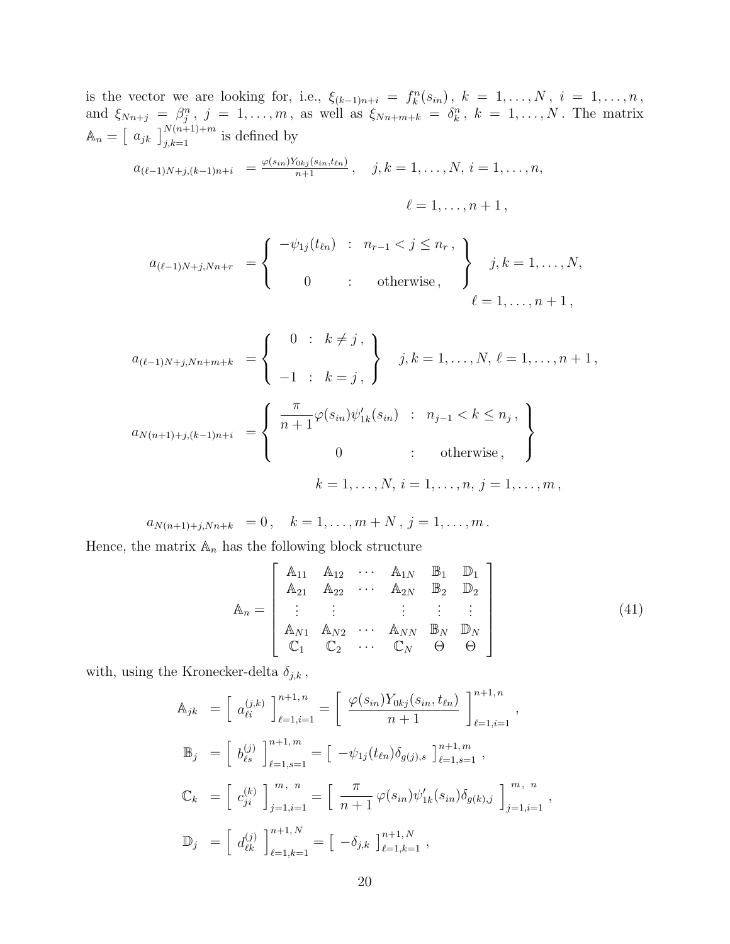is the vector we are looking for, i.e.,  $\xi_{(k-1)n+i} = f_k^n(s_{in}), k = 1, \ldots, N, i = 1, \ldots, n$ , and  $\xi_{Nn+j} = \beta_j^n$ ,  $j = 1, \ldots, m$ , as well as  $\xi_{Nn+m+k} = \delta_k^n$ ,  $k = 1, \ldots, N$ . The matrix  $\mathbb{A}_n = \left[ a_{jk} \right]_{j,k=1}^{N(n+1)+m}$  is defined by

$$
a_{(\ell-1)N+j,(k-1)n+i} = \frac{\varphi(s_{in})Y_{0kj}(s_{in},t_{\ell n})}{n+1}, \quad j,k = 1,\ldots,N, i = 1,\ldots,n,
$$

$$
\ell=1,\ldots,n+1\,,
$$

$$
a_{(\ell-1)N+j,Nn+r} = \begin{cases} -\psi_{1j}(t_{\ell n}) & : & n_{r-1} < j \leq n_r, \\ 0 & : & \text{otherwise}, \end{cases} \qquad j,k = 1,\ldots,N,
$$
  
 $\ell = 1,\ldots,n+1,$ 

$$
a_{(\ell-1)N+j,Nn+m+k} = \begin{cases} 0 & \text{: } k \neq j, \\ -1 & \text{: } k = j, \end{cases} j, k = 1, \dots, N, \ell = 1, \dots, n+1,
$$
  

$$
a_{N(n+1)+j,(k-1)n+i} = \begin{cases} \frac{\pi}{n+1} \varphi(s_{in}) \psi'_{1k}(s_{in}) & \text{: } n_{j-1} < k \leq n_j, \\ 0 & \text{: } \text{ otherwise,} \end{cases}
$$
  

$$
k = 1, \dots, N, i = 1, \dots, n, j = 1, \dots, m,
$$

 $a_{N(n+1)+j,Nn+k} = 0, \quad k = 1, \ldots, m+N, j = 1, \ldots, m$ .

Hence, the matrix  $\mathbb{A}_n$  has the following block structure

$$
\mathbb{A}_{n} = \begin{bmatrix} \mathbb{A}_{11} & \mathbb{A}_{12} & \cdots & \mathbb{A}_{1N} & \mathbb{B}_{1} & \mathbb{D}_{1} \\ \mathbb{A}_{21} & \mathbb{A}_{22} & \cdots & \mathbb{A}_{2N} & \mathbb{B}_{2} & \mathbb{D}_{2} \\ \vdots & \vdots & \vdots & \vdots & \vdots & \vdots \\ \mathbb{A}_{N1} & \mathbb{A}_{N2} & \cdots & \mathbb{A}_{NN} & \mathbb{B}_{N} & \mathbb{D}_{N} \\ \mathbb{C}_{1} & \mathbb{C}_{2} & \cdots & \mathbb{C}_{N} & \Theta & \Theta \end{bmatrix}
$$
(41)

with, using the Kronecker-delta  $\delta_{j,k}$  ,

$$
\begin{aligned}\n\mathbb{A}_{jk} &= \left[ a_{\ell i}^{(j,k)} \right]_{\ell=1,i=1}^{n+1,n} = \left[ \frac{\varphi(s_{in})Y_{0kj}(s_{in},t_{\ell n})}{n+1} \right]_{\ell=1,i=1}^{n+1,n}, \\
\mathbb{B}_j &= \left[ b_{\ell s}^{(j)} \right]_{\ell=1,s=1}^{n+1,m} = \left[ -\psi_{1j}(t_{\ell n})\delta_{g(j),s} \right]_{\ell=1,s=1}^{n+1,m}, \\
\mathbb{C}_k &= \left[ c_{ji}^{(k)} \right]_{j=1,i=1}^{m, n} = \left[ \frac{\pi}{n+1} \varphi(s_{in})\psi'_{1k}(s_{in})\delta_{g(k),j} \right]_{j=1,i=1}^{m, n}, \\
\mathbb{D}_j &= \left[ d_{\ell k}^{(j)} \right]_{\ell=1,k=1}^{n+1,N} = \left[ -\delta_{j,k} \right]_{\ell=1,k=1}^{n+1,N},\n\end{aligned}
$$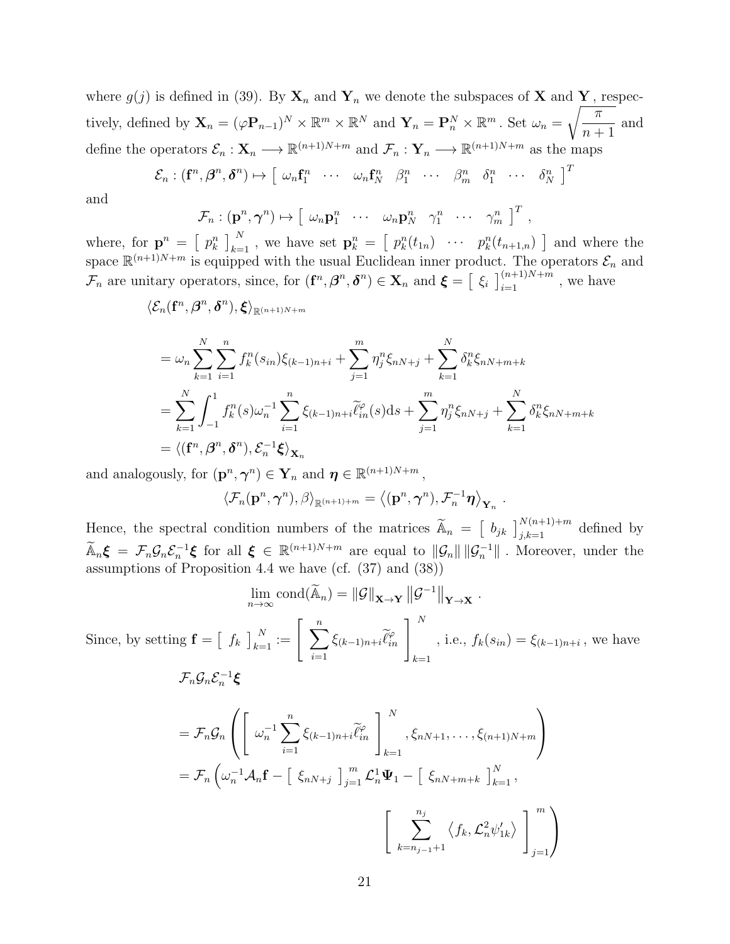where  $g(j)$  is defined in (39). By  $\mathbf{X}_n$  and  $\mathbf{Y}_n$  we denote the subspaces of **X** and **Y**, respectively, defined by  $\mathbf{X}_n = (\varphi \mathbf{P}_{n-1})^N \times \mathbb{R}^m \times \mathbb{R}^N$  and  $\mathbf{Y}_n = \mathbf{P}_n^N \times \mathbb{R}^m$ . Set  $\omega_n = \sqrt{\frac{\pi}{n-1}}$  $n+1$ and define the operators  $\mathcal{E}_n : \mathbf{X}_n \longrightarrow \mathbb{R}^{(n+1)N+m}$  and  $\mathcal{F}_n : \mathbf{Y}_n \longrightarrow \mathbb{R}^{(n+1)N+m}$  as the maps

$$
\mathcal{E}_n : (\mathbf{f}^n, \beta^n, \delta^n) \mapsto [\omega_n \mathbf{f}_1^n \cdots \omega_n \mathbf{f}_N^n \beta_1^n \cdots \beta_m^n \delta_1^n \cdots \delta_N^n]^T
$$

and

Since,

$$
\mathcal{F}_n : (\mathbf{p}^n, \boldsymbol{\gamma}^n) \mapsto \left[ \begin{array}{cccc} \omega_n \mathbf{p}_1^n & \cdots & \omega_n \mathbf{p}_N^n & \gamma_1^n & \cdots & \gamma_m^n \end{array} \right]^T ,
$$

where, for  $\mathbf{p}^n = \begin{bmatrix} p_k^n \end{bmatrix}_{k=1}^N$ , we have set  $\mathbf{p}_k^n = \begin{bmatrix} p_k^n(t_{1n}) & \cdots & p_k^n(t_{n+1,n}) \end{bmatrix}$  and where the space  $\mathbb{R}^{(n+1)N+m}$  is equipped with the usual Euclidean inner product. The operators  $\mathcal{E}_n$  and  $\mathcal{F}_n$  are unitary operators, since, for  $(\mathbf{f}^n, \beta^n, \delta^n) \in \mathbf{X}_n$  and  $\boldsymbol{\xi} = \left[\begin{array}{c} \xi_i \end{array}\right]_{i=1}^{(n+1)N+m}$ , we have

$$
\langle \mathcal{E}_n({\mathbf f}^n, \boldsymbol{\beta}^n, \boldsymbol{\delta}^n), {\pmb{\xi}} \rangle_{\mathbb{R}^{(n+1)N+m}}
$$

$$
= \omega_n \sum_{k=1}^N \sum_{i=1}^n f_k^n(s_{in}) \xi_{(k-1)n+i} + \sum_{j=1}^m \eta_j^n \xi_{nN+j} + \sum_{k=1}^N \delta_k^n \xi_{nN+m+k}
$$
  
= 
$$
\sum_{k=1}^N \int_{-1}^1 f_k^n(s) \omega_n^{-1} \sum_{i=1}^n \xi_{(k-1)n+i} \widetilde{\ell}_{in}^{\varphi}(s) ds + \sum_{j=1}^m \eta_j^n \xi_{nN+j} + \sum_{k=1}^N \delta_k^n \xi_{nN+m+k}
$$
  
=  $\langle (\mathbf{f}^n, \beta^n, \delta^n), \mathcal{E}_n^{-1} \xi \rangle_{\mathbf{X}_n}$ 

and analogously, for  $(\mathbf{p}^n, \boldsymbol{\gamma}^n) \in \mathbf{Y}_n$  and  $\boldsymbol{\eta} \in \mathbb{R}^{(n+1)N+m}$ ,

$$
\langle \mathcal{F}_n(\mathbf{p}^n, \boldsymbol{\gamma}^n), \beta \rangle_{\mathbb{R}^{(n+1)+m}} = \langle (\mathbf{p}^n, \boldsymbol{\gamma}^n), \mathcal{F}_n^{-1} \boldsymbol{\eta} \rangle_{\mathbf{Y}_n}.
$$

Hence, the spectral condition numbers of the matrices  $\widetilde{A}_n = \begin{bmatrix} b_{jk} \end{bmatrix}_{j,k=1}^{N(n+1)+m}$  defined by  $\widetilde{A}_n \boldsymbol{\xi} = \mathcal{F}_n \mathcal{G}_n \mathcal{E}_n^{-1} \boldsymbol{\xi}$  for all  $\boldsymbol{\xi} \in \mathbb{R}^{(n+1)N+m}$  are equal to  $\|\mathcal{G}_n\| \|\mathcal{G}_n^{-1}\|$ . Moreover, under the assumptions of Proposition 4.4 we have (cf. (37) and (38))

$$
\lim_{n \to \infty} \text{cond}(\widetilde{\mathbf{A}}_n) = ||\mathcal{G}||_{\mathbf{X} \to \mathbf{Y}} ||\mathcal{G}^{-1}||_{\mathbf{Y} \to \mathbf{X}}.
$$
  
by setting  $\mathbf{f} = \begin{bmatrix} f_k \end{bmatrix}_{k=1}^N := \begin{bmatrix} \sum_{i=1}^n \xi_{(k-1)n+i} \widetilde{\ell}_{in}^e \end{bmatrix}_{k=1}^N$ , i.e.,  $f_k(s_{in}) = \xi_{(k-1)n+i}$ , we have  

$$
\mathcal{F}_n \mathcal{G}_n \mathcal{E}_n^{-1} \xi
$$

$$
= \mathcal{F}_n \mathcal{G}_n \left( \begin{bmatrix} \omega_n^{-1} \sum_{i=1}^n \xi_{(k-1)n+i} \widetilde{\ell}_{in}^e \end{bmatrix}_{k=1}^N, \xi_{nN+1}, \dots, \xi_{(n+1)N+m} \right)
$$

$$
= \mathcal{F}_n \left( \omega_n^{-1} \mathcal{A}_n \mathbf{f} - \begin{bmatrix} \xi_{nN+j} \end{bmatrix}_{j=1}^m \mathcal{L}_n^1 \Psi_1 - \begin{bmatrix} \xi_{nN+m+k} \end{bmatrix}_{k=1}^N, \xi_{nN+k} \right)
$$

$$
\begin{bmatrix} \sum_{k=n_{j-1}+1}^{n_j} \langle f_k, \mathcal{L}_n^2 \psi'_{1k} \rangle \end{bmatrix}_{j=1}^m \right)
$$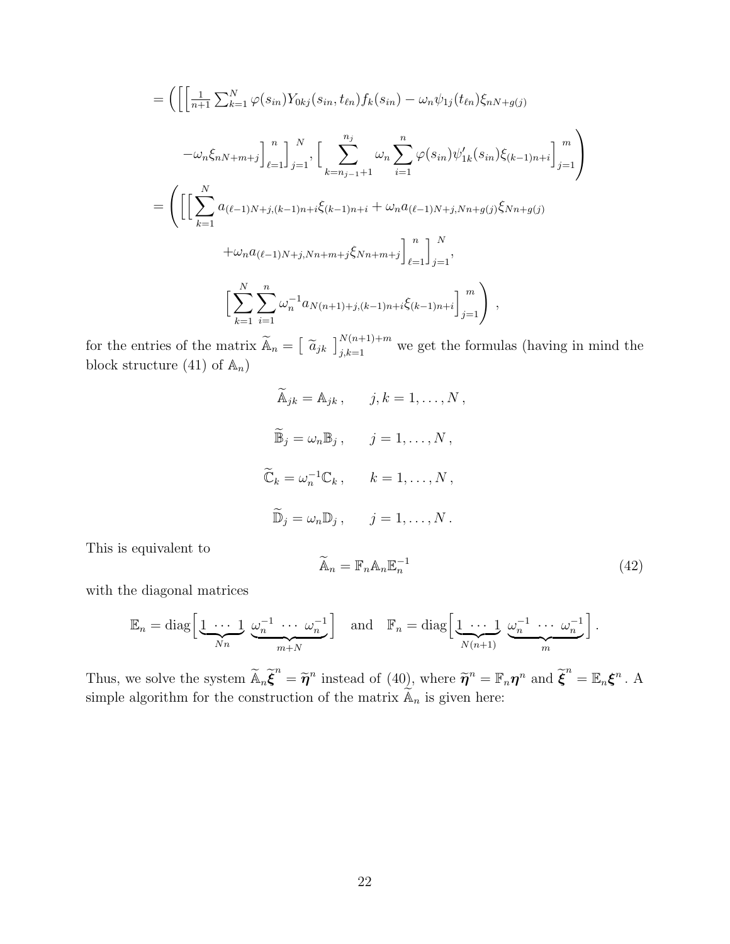$$
= \left( \left[ \left( \frac{1}{n+1} \sum_{k=1}^{N} \varphi(s_{in}) Y_{0kj}(s_{in}, t_{\ell n}) f_k(s_{in}) - \omega_n \psi_{1j}(t_{\ell n}) \xi_{nN+g(j)} \right. \right. \\ - \omega_n \xi_{nN+m+j} \right]_{\ell=1}^n \right)_{j=1}^N, \left[ \sum_{k=n_{j-1}+1}^{n_j} \omega_n \sum_{i=1}^n \varphi(s_{in}) \psi'_{1k}(s_{in}) \xi_{(k-1)n+i} \right]_{j=1}^m \right)
$$
  

$$
= \left( \left[ \left[ \sum_{k=1}^N a_{(\ell-1)N+j,(k-1)n+i} \xi_{(k-1)n+i} + \omega_n a_{(\ell-1)N+j,Nn+g(j)} \xi_{Nn+g(j)} \right. \right. \\ + \omega_n a_{(\ell-1)N+j,Nn+m+j} \xi_{Nn+m+j} \right]_{\ell=1}^n \right]_{j=1}^N,
$$
  

$$
\left[ \sum_{k=1}^N \sum_{i=1}^n \omega_n^{-1} a_{N(n+1)+j,(k-1)n+i} \xi_{(k-1)n+i} \right]_{j=1}^m \right),
$$

for the entries of the matrix  $\widetilde{A}_n = \left[\begin{array}{c} \widetilde{a}_{jk} \end{array}\right]_{j,k=1}^{N(n+1)+m}$  we get the formulas (having in mind the block structure (41) of  $\mathbb{A}_n$ )

$$
\widetilde{A}_{jk} = A_{jk}, \qquad j, k = 1, ..., N,
$$
  

$$
\widetilde{B}_j = \omega_n B_j, \qquad j = 1, ..., N,
$$
  

$$
\widetilde{C}_k = \omega_n^{-1} C_k, \qquad k = 1, ..., N,
$$
  

$$
\widetilde{D}_j = \omega_n D_j, \qquad j = 1, ..., N.
$$

This is equivalent to

$$
\widetilde{\mathbb{A}}_n = \mathbb{F}_n \mathbb{A}_n \mathbb{E}_n^{-1} \tag{42}
$$

with the diagonal matrices

$$
\mathbb{E}_n = \text{diag}\left[\underbrace{1 \cdots 1}_{Nn} \underbrace{\omega_n^{-1} \cdots \omega_n^{-1}}_{m+N}\right] \quad \text{and} \quad \mathbb{F}_n = \text{diag}\left[\underbrace{1 \cdots 1}_{N(n+1)} \underbrace{\omega_n^{-1} \cdots \omega_n^{-1}}_{m}\right].
$$

Thus, we solve the system  $\widetilde{A}_n \widetilde{\boldsymbol{\xi}}^n = \widetilde{\boldsymbol{\eta}}^n$  instead of (40), where  $\widetilde{\boldsymbol{\eta}}^n = \mathbb{F}_n \boldsymbol{\eta}^n$  and  $\widetilde{\boldsymbol{\xi}}^n = \mathbb{E}_n \boldsymbol{\xi}^n$ . A simple algorithm for the construction of the matrix  $\widetilde{\mathbb{A}}_n$  is given here: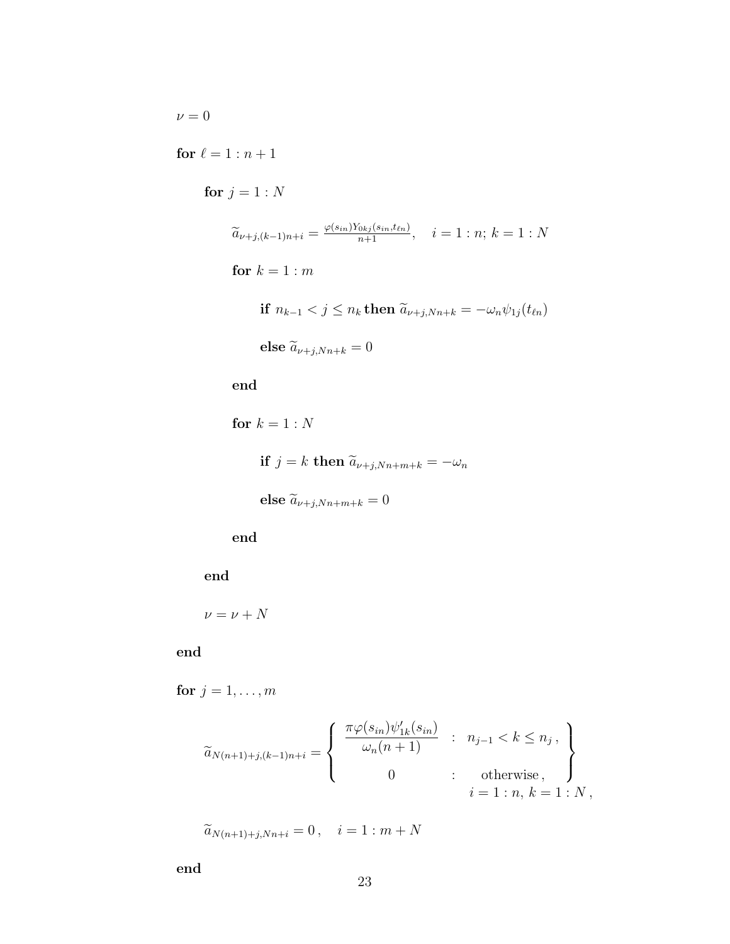$\nu=0$ 

for  $\ell = 1 : n + 1$ 

for  $j = 1 : N$ 

$$
\widetilde{a}_{\nu+j,(k-1)n+i} = \frac{\varphi(s_{in})Y_{0kj}(s_{in},t_{\ell n})}{n+1}, \quad i = 1:n; k = 1:N
$$

for  $k = 1 : m$ 

if  $n_{k-1} < j \le n_k$  then  $\tilde{a}_{\nu+j,Nn+k} = -\omega_n \psi_{1j}(t_{\ell n})$ else  $\tilde{a}_{\nu+j,Nn+k} = 0$ 

end

for  $k = 1 : N$ 

if  $j = k$  then  $\widetilde{a}_{\nu+j,Nn+m+k} = -\omega_n$ 

else  $\tilde{a}_{\nu+j,Nn+m+k} = 0$ 

end

end

$$
\nu = \nu + N
$$

end

for  $j = 1, \ldots, m$ 

$$
\widetilde{a}_{N(n+1)+j,(k-1)n+i} = \left\{ \begin{array}{rcl} \frac{\pi \varphi(s_{in}) \psi'_{1k}(s_{in})}{\omega_n (n+1)} & : & n_{j-1} < k \le n_j \,, \\ 0 & : & \text{otherwise} \,, \\ 0 & : & i = 1 : n, k = 1 : N \,, \end{array} \right\}
$$

 $\widetilde{a}_{N(n+1)+j,Nn+i} = 0, \quad i = 1 : m + N$ 

end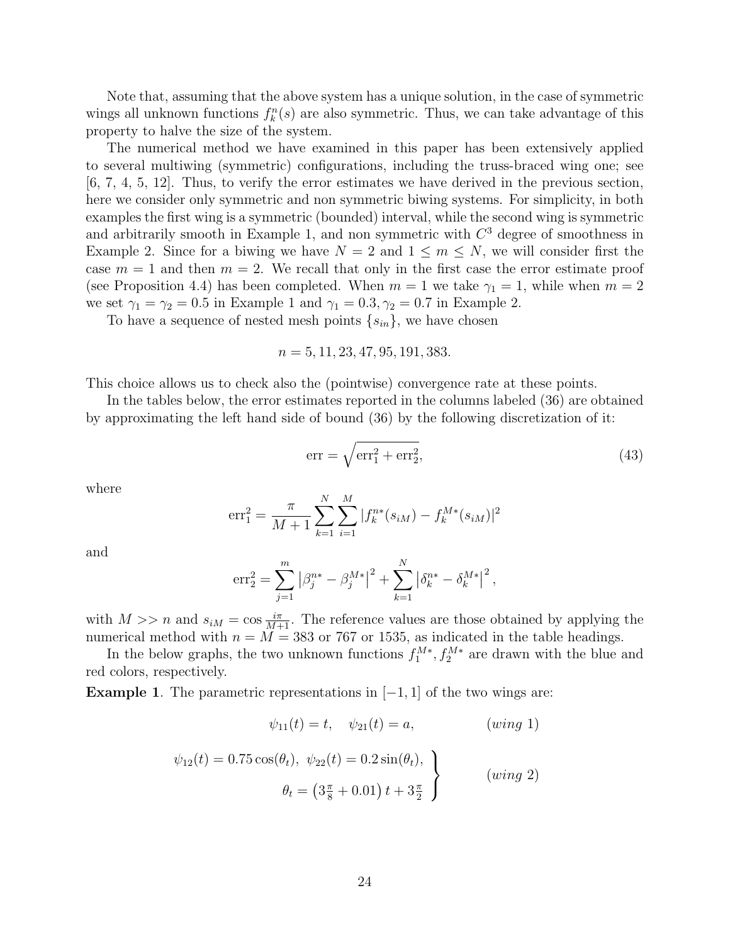Note that, assuming that the above system has a unique solution, in the case of symmetric wings all unknown functions  $f_k^n(s)$  are also symmetric. Thus, we can take advantage of this property to halve the size of the system.

The numerical method we have examined in this paper has been extensively applied to several multiwing (symmetric) configurations, including the truss-braced wing one; see [6, 7, 4, 5, 12]. Thus, to verify the error estimates we have derived in the previous section, here we consider only symmetric and non symmetric biwing systems. For simplicity, in both examples the first wing is a symmetric (bounded) interval, while the second wing is symmetric and arbitrarily smooth in Example 1, and non symmetric with  $C<sup>3</sup>$  degree of smoothness in Example 2. Since for a biwing we have  $N = 2$  and  $1 \leq m \leq N$ , we will consider first the case  $m = 1$  and then  $m = 2$ . We recall that only in the first case the error estimate proof (see Proposition 4.4) has been completed. When  $m = 1$  we take  $\gamma_1 = 1$ , while when  $m = 2$ we set  $\gamma_1 = \gamma_2 = 0.5$  in Example 1 and  $\gamma_1 = 0.3, \gamma_2 = 0.7$  in Example 2.

To have a sequence of nested mesh points  $\{s_{in}\}\$ , we have chosen

 $n = 5, 11, 23, 47, 95, 191, 383.$ 

This choice allows us to check also the (pointwise) convergence rate at these points.

In the tables below, the error estimates reported in the columns labeled (36) are obtained by approximating the left hand side of bound (36) by the following discretization of it:

$$
err = \sqrt{err_1^2 + err_2^2},\tag{43}
$$

where

$$
err_1^2 = \frac{\pi}{M+1} \sum_{k=1}^{N} \sum_{i=1}^{M} |f_k^{n*}(s_{iM}) - f_k^{M*}(s_{iM})|^2
$$

and

$$
\mathrm{err}_{2}^{2} = \sum_{j=1}^{m} \left| \beta_{j}^{n*} - \beta_{j}^{M*} \right|^{2} + \sum_{k=1}^{N} \left| \delta_{k}^{n*} - \delta_{k}^{M*} \right|^{2},
$$

with  $M >> n$  and  $s_{iM} = \cos \frac{i\pi}{M+1}$ . The reference values are those obtained by applying the numerical method with  $n = M = 383$  or 767 or 1535, as indicated in the table headings.

In the below graphs, the two unknown functions  $f_1^{M*}, f_2^{M*}$  are drawn with the blue and red colors, respectively.

**Example 1.** The parametric representations in  $[-1, 1]$  of the two wings are:

$$
\psi_{11}(t) = t, \quad \psi_{21}(t) = a, \quad (wing \ 1)
$$

$$
\psi_{12}(t) = 0.75 \cos(\theta_t), \ \psi_{22}(t) = 0.2 \sin(\theta_t),
$$
\n
$$
\theta_t = \left(3\frac{\pi}{8} + 0.01\right)t + 3\frac{\pi}{2}
$$
\n(wing 2)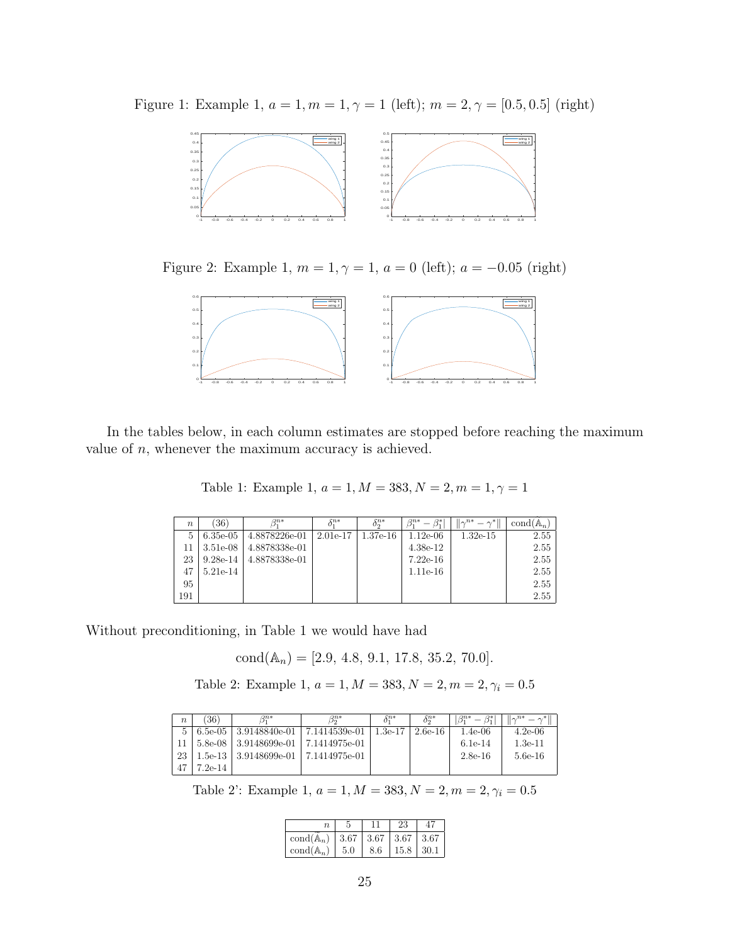Figure 1: Example 1,  $a = 1, m = 1, \gamma = 1$  (left);  $m = 2, \gamma = [0.5, 0.5]$  (right)



Figure 2: Example 1,  $m = 1, \gamma = 1, a = 0$  (left);  $a = -0.05$  (right)



In the tables below, in each column estimates are stopped before reaching the maximum value of  $n$ , whenever the maximum accuracy is achieved.

Table 1: Example 1,  $a = 1, M = 383, N = 2, m = 1, \gamma = 1$ 

| $\boldsymbol{n}$ | 36)         | $\beta_1^{n*}$ | $\delta^{n*}$ | $\delta_{\alpha}^{n*}$ | $\beta^{*1}$<br>$\beta^{n*}$ | $\ \gamma^{n*} = \gamma^*\ $ | $\text{cond}(\mathbb{A}_n)$ |
|------------------|-------------|----------------|---------------|------------------------|------------------------------|------------------------------|-----------------------------|
| 5                | $6.35e-0.5$ | 4.8878226e-01  | $2.01e-17$    | $1.37e-16$             | $1.12e-06$                   | $1.32e-15$                   | 2.55                        |
| 11               | $3.51e-08$  | 4.8878338e-01  |               |                        | $4.38e-12$                   |                              | 2.55                        |
| 23               | $9.28e-14$  | 4.8878338e-01  |               |                        | $7.22e-16$                   |                              | 2.55                        |
|                  | 5.21e-14    |                |               |                        | $1.11e-16$                   |                              | 2.55                        |
| 95               |             |                |               |                        |                              |                              | 2.55                        |
| 191              |             |                |               |                        |                              |                              | 2.55                        |

Without preconditioning, in Table 1 we would have had

 $cond(\mathbb{A}_n) = [2.9, 4.8, 9.1, 17.8, 35.2, 70.0].$ 

Table 2: Example 1,  $a=1, M=383, N=2, m=2, \gamma_i=0.5$ 

| $\boldsymbol{n}$ | 36)       | $\beta^{n*}$      | $\beta_{\alpha}^{n*}$ | $\delta^{n*}$ | $\delta_{\circ}^{n*}$ | $\beta_1^{n*}$ | $\ \gamma^{n*}-\gamma^*\ $ |
|------------------|-----------|-------------------|-----------------------|---------------|-----------------------|----------------|----------------------------|
| $5^{\circ}$      | 6.5e-05   | $3.9148840e-01$   | 7.1414539e-01         | $1.3e-17$     | $2.6e-16$             | $1.4e-06$      | $4.2e-06$                  |
|                  | 5.8e-08   | $ 3.9148699e-01 $ | 7.1414975e-01         |               |                       | $6.1e-14$      | $1.3e-11$                  |
| 23               | 1.5e-13 - | $3.9148699$ e-01  | ∣ 7.1414975e-01       |               |                       | $2.8e-16$      | 5.6e-16                    |
| 47               | 7.2e-14   |                   |                       |               |                       |                |                            |

Table 2': Example 1,  $a = 1, M = 383, N = 2, m = 2, \gamma_i = 0.5$ 

|                             |      |     | 23              |      |
|-----------------------------|------|-----|-----------------|------|
| $\text{cond}(\mathbb{A}_n)$ | 3.67 |     | $3.67$   $3.67$ | 3.67 |
| $\text{cond}(\mathbb{A}_n)$ | 5.0  | 8.6 | 15.8            | 30.1 |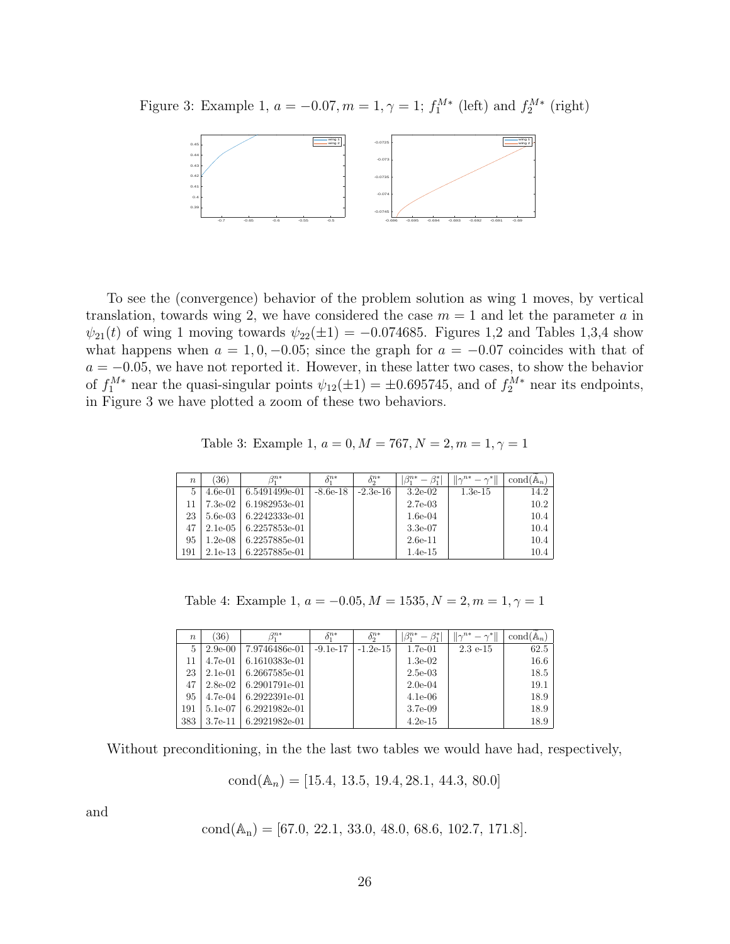Figure 3: Example 1,  $a = -0.07, m = 1, \gamma = 1$ ;  $f_1^{M*}$  (left) and  $f_2^{M*}$  (right)



To see the (convergence) behavior of the problem solution as wing 1 moves, by vertical translation, towards wing 2, we have considered the case  $m = 1$  and let the parameter a in  $\psi_{21}(t)$  of wing 1 moving towards  $\psi_{22}(\pm 1) = -0.074685$ . Figures 1,2 and Tables 1,3,4 show what happens when  $a = 1, 0, -0.05$ ; since the graph for  $a = -0.07$  coincides with that of  $a = -0.05$ , we have not reported it. However, in these latter two cases, to show the behavior of  $f_1^{M*}$  near the quasi-singular points  $\psi_{12}(\pm 1) = \pm 0.695745$ , and of  $f_2^{M*}$  near its endpoints, in Figure 3 we have plotted a zoom of these two behaviors.

Table 3: Example 1,  $a = 0, M = 767, N = 2, m = 1, \gamma = 1$ 

| $\boldsymbol{n}$ | 36)        | R <sup>n∗</sup> | $\delta^{n*}$ | $\delta_{\alpha}^{n*}$ | $\beta_1^{n*}$<br>ß* | $  \gamma^{n*}$<br>$=$ $\gamma^*$ ll | $\text{cond}(\mathbb{A}_n)$ |
|------------------|------------|-----------------|---------------|------------------------|----------------------|--------------------------------------|-----------------------------|
| 5                | $4.6e-01$  | 6.5491499e-01   | $-8.6e-18$    | $-2.3e-16$             | $3.2e-0.2$           | $1.3e-15$                            | 14.2                        |
|                  | $7.3e-02$  | 6.1982953e-01   |               |                        | $2.7e-03$            |                                      | 10.2                        |
| 23               | $5.6e-0.3$ | 6.2242333e-01   |               |                        | $1.6e-04$            |                                      | 10.4                        |
| 47               | $2.1e-0.5$ | 6.2257853e-01   |               |                        | $3.3e-07$            |                                      | 10.4                        |
| 95               | $1.2e-08$  | 6.2257885e-01   |               |                        | $2.6e-11$            |                                      | 10.4                        |
| 191              | $2.1e-13$  | 6.2257885e-01   |               |                        | $1.4e-15$            |                                      | 10.4                        |

Table 4: Example 1,  $a = -0.05, M = 1535, N = 2, m = 1, \gamma = 1$ 

| $\boldsymbol{n}$ | 36)        | R <sup>n∗</sup> | $\bar{\chi}$ n* | $\delta^{n*}$ | R*<br>$\beta_1^{n*}$ | $ \gamma^{n*} $<br>$- \wedge^*$ | $\text{cond}(\mathbb{A}_n)$ |
|------------------|------------|-----------------|-----------------|---------------|----------------------|---------------------------------|-----------------------------|
| 5                | $2.9e-00$  | 7.9746486e-01   | $-9.1e-17$      | $-1.2e-15$    | $1.7e-01$            | $2.3e-15$                       | 62.5                        |
| 11               | $4.7e-01$  | 6.1610383e-01   |                 |               | $1.3e-02$            |                                 | 16.6                        |
| 23               | $2.1e-01$  | 6.2667585e-01   |                 |               | $2.5e-03$            |                                 | 18.5                        |
| 47               | $2.8e-0.2$ | 6.2901791e-01   |                 |               | $2.0e-04$            |                                 | 19.1                        |
| 95               | 4.7e-04    | 6.2922391e-01   |                 |               | $4.1e-06$            |                                 | 18.9                        |
| 191              | 5.1e-07    | 6.2921982e-01   |                 |               | $3.7e-0.9$           |                                 | 18.9                        |
| 383              | $3.7e-11$  | 6.2921982e-01   |                 |               | $4.2e-15$            |                                 | 18.9                        |

Without preconditioning, in the the last two tables we would have had, respectively,

 $cond(\mathbb{A}_n) = [15.4, 13.5, 19.4, 28.1, 44.3, 80.0]$ 

and

cond(
$$
\mathbb{A}_n
$$
) = [67.0, 22.1, 33.0, 48.0, 68.6, 102.7, 171.8].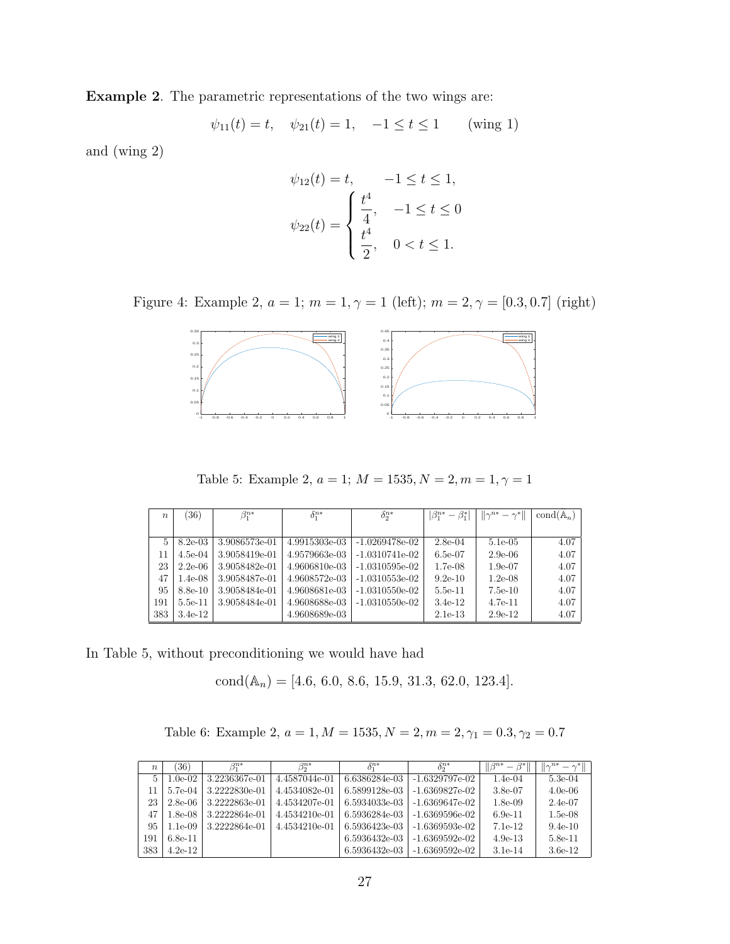Example 2. The parametric representations of the two wings are:

$$
\psi_{11}(t) = t, \quad \psi_{21}(t) = 1, \quad -1 \le t \le 1 \quad \text{(wing 1)}
$$

and (wing 2)

$$
\psi_{12}(t) = t, \quad -1 \le t \le 1,
$$
  

$$
\psi_{22}(t) = \begin{cases} \frac{t^4}{4}, & -1 \le t \le 0 \\ \frac{t^4}{2}, & 0 < t \le 1. \end{cases}
$$

Figure 4: Example 2,  $a=1;\,m=1,\gamma=1$  (left);  $m=2,\gamma=[0.3,0.7]$  (right)



Table 5: Example 2,  $a=1;\,M=1535, N=2, m=1, \gamma=1$ 

| $\boldsymbol{n}$ | (36)      | $\delta_1^{n*}$<br>$\beta_1^{n*}$ |               | $\delta^{n*}$    | $ \beta_1^{n*} - \beta_1^* $ | $\  \gamma^{n*} - \gamma^{*} \ $ | $\text{cond}(\mathbb{A}_n)$ |
|------------------|-----------|-----------------------------------|---------------|------------------|------------------------------|----------------------------------|-----------------------------|
|                  |           |                                   |               |                  |                              |                                  |                             |
| $5^{\circ}$      | $8.2e-03$ | 3.9086573e-01                     | 4.9915303e-03 | $-1.0269478e-02$ | $2.8e-04$                    | $5.1e-0.5$                       | 4.07                        |
| 11               | $4.5e-04$ | 3.9058419e-01                     | 4.9579663e-03 | $-1.0310741e-02$ | $6.5e-07$                    | $2.9e-06$                        | 4.07                        |
| 23               | $2.2e-06$ | 3.9058482e-01                     | 4.9606810e-03 | $-1.0310595e-02$ | $1.7e-08$                    | $1.9e-07$                        | 4.07                        |
| 47               | $1.4e-08$ | 3.9058487e-01                     | 4.9608572e-03 | $-1.0310553e-02$ | $9.2e-10$                    | $1.2e-0.8$                       | 4.07                        |
| 95               | $8.8e-10$ | 3.9058484e-01                     | 4.9608681e-03 | $-1.0310550e-02$ | $5.5e-11$                    | $7.5e-10$                        | 4.07                        |
| 191              | 5.5e-11   | 3.9058484e-01                     | 4.9608688e-03 | $-1.0310550e-02$ | $3.4e-12$                    | $4.7e-11$                        | 4.07                        |
| 383              | $3.4e-12$ |                                   | 4.9608689e-03 |                  | $2.1e-13$                    | $2.9e-12$                        | 4.07                        |

In Table 5, without preconditioning we would have had

 $cond(\mathbb{A}_n) = [4.6, 6.0, 8.6, 15.9, 31.3, 62.0, 123.4].$ 

Table 6: Example 2,  $a = 1, M = 1535, N = 2, m = 2, \gamma_1 = 0.3, \gamma_2 = 0.7$ 

| $\boldsymbol{n}$ | 36)        | $\beta^{n*}$  | $\beta_{\mathfrak{d}}^{n*}$ | $\delta^{n*}$ | $\delta_{\alpha}^{n*}$ | $\parallel$ $\beta^{n*}$<br>$\beta^*$ ll<br>$\overline{\phantom{m}}$ | $\ \gamma^{n*}$<br>$-\gamma^*$ |
|------------------|------------|---------------|-----------------------------|---------------|------------------------|----------------------------------------------------------------------|--------------------------------|
| 5                | $1.0e-02$  | 3.2236367e-01 | 4.4587044e-01               | 6.6386284e-03 | -1.6329797e-02         | $1.4e-04$                                                            | $5.3e-04$                      |
| 11               | 5.7e-04    | 3.2222830e-01 | 4.4534082e-01               | 6.5899128e-03 | -1.6369827e-02         | $3.8e-07$                                                            | $4.0e-06$                      |
| 23               | $2.8e-06$  | 3.2222863e-01 | 4.4534207e-01               | 6.5934033e-03 | -1.6369647e-02         | $1.8e-0.9$                                                           | $2.4e-07$                      |
| 47               | $1.8e-0.8$ | 3.2222864e-01 | 4.4534210e-01               | 6.5936284e-03 | $-1.6369596$ e $-02$   | $6.9e-11$                                                            | $1.5e-08$                      |
| 95               | $1.1e-0.9$ | 3.2222864e-01 | 4.4534210e-01               | 6.5936423e-03 | -1.6369593e-02         | 7.1e-12                                                              | $9.4e-10$                      |
| 191              | $6.8e-11$  |               |                             | 6.5936432e-03 | -1.6369592e-02         | $4.9e-13$                                                            | $5.8e-11$                      |
| 383              | $4.2e-12$  |               |                             | 6.5936432e-03 | $-1.6369592e-02$       | 3.1e-14                                                              | 3.6e-12                        |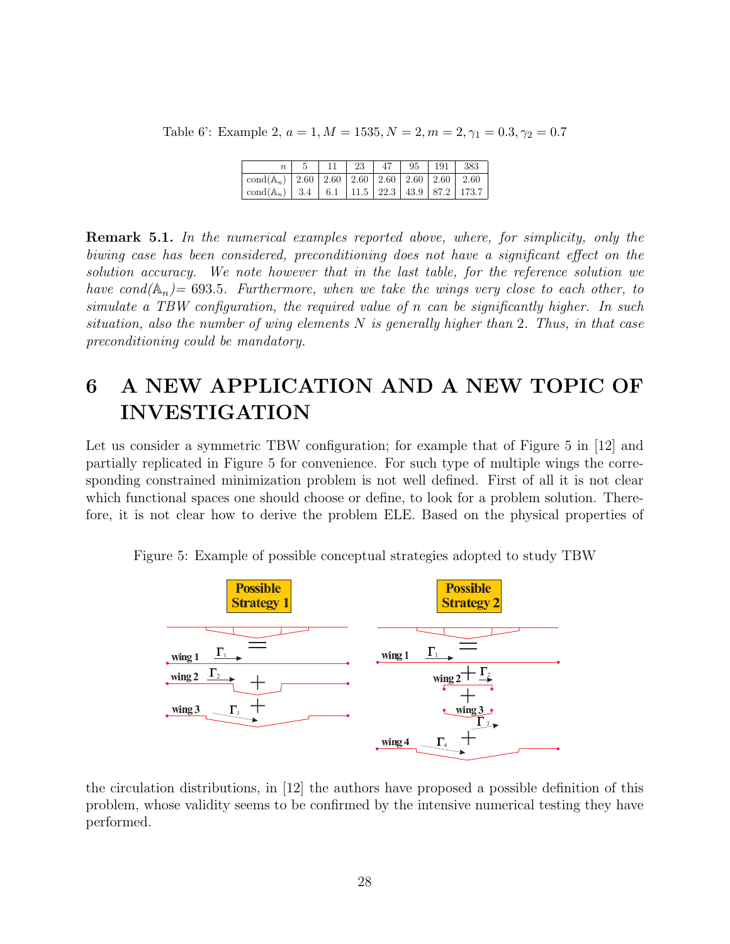Table 6': Example 2,  $a = 1, M = 1535, N = 2, m = 2, \gamma_1 = 0.3, \gamma_2 = 0.7$ 

|                                                                       | -11 | -23 | 47 | 95 | 191 | 383 |
|-----------------------------------------------------------------------|-----|-----|----|----|-----|-----|
| cond(A <sub>n</sub> )   2.60   2.60   2.60   2.60   2.60   2.60       |     |     |    |    |     |     |
| cond(A <sub>n</sub> )   3.4   6.1   11.5   22.3   43.9   87.2   173.7 |     |     |    |    |     |     |

Remark 5.1. In the numerical examples reported above, where, for simplicity, only the biwing case has been considered, preconditioning does not have a significant effect on the solution accuracy. We note however that in the last table, for the reference solution we have cond( $\mathbb{A}_n$ ) = 693.5. Furthermore, when we take the wings very close to each other, to simulate a TBW configuration, the required value of n can be significantly higher. In such situation, also the number of wing elements  $N$  is generally higher than 2. Thus, in that case preconditioning could be mandatory.

# 6 A NEW APPLICATION AND A NEW TOPIC OF INVESTIGATION

Let us consider a symmetric TBW configuration; for example that of Figure 5 in [12] and partially replicated in Figure 5 for convenience. For such type of multiple wings the corresponding constrained minimization problem is not well defined. First of all it is not clear which functional spaces one should choose or define, to look for a problem solution. Therefore, it is not clear how to derive the problem ELE. Based on the physical properties of



Figure 5: Example of possible conceptual strategies adopted to study TBW

the circulation distributions, in [12] the authors have proposed a possible definition of this problem, whose validity seems to be confirmed by the intensive numerical testing they have performed.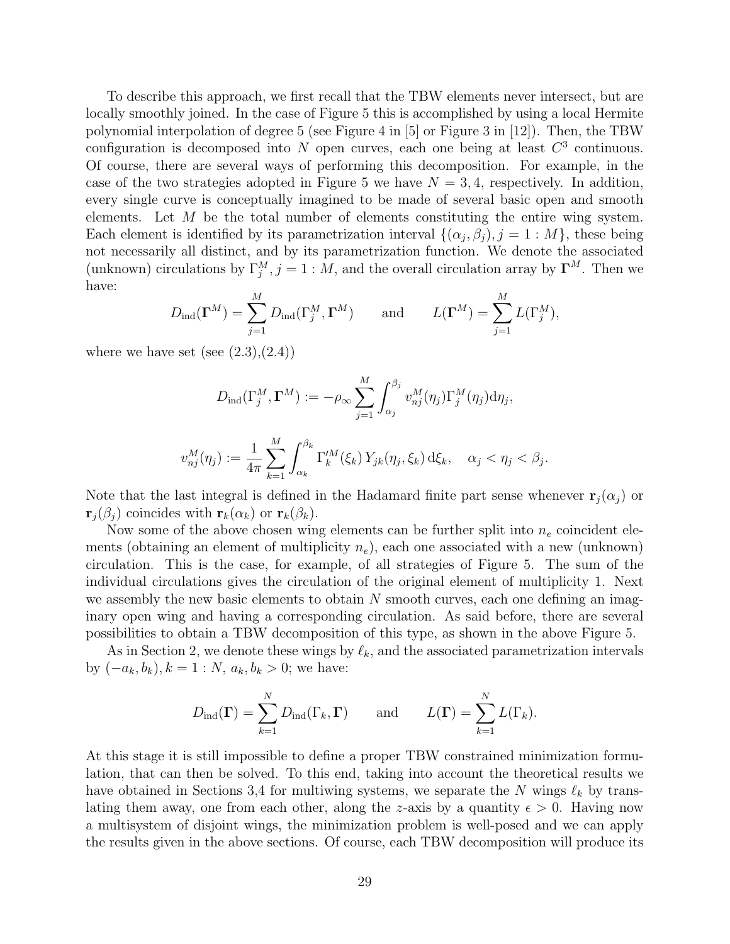To describe this approach, we first recall that the TBW elements never intersect, but are locally smoothly joined. In the case of Figure 5 this is accomplished by using a local Hermite polynomial interpolation of degree 5 (see Figure 4 in [5] or Figure 3 in [12]). Then, the TBW configuration is decomposed into N open curves, each one being at least  $C^3$  continuous. Of course, there are several ways of performing this decomposition. For example, in the case of the two strategies adopted in Figure 5 we have  $N = 3, 4$ , respectively. In addition, every single curve is conceptually imagined to be made of several basic open and smooth elements. Let  $M$  be the total number of elements constituting the entire wing system. Each element is identified by its parametrization interval  $\{(\alpha_j, \beta_j), j = 1 : M\}$ , these being not necessarily all distinct, and by its parametrization function. We denote the associated (unknown) circulations by  $\Gamma_j^M$ ,  $j = 1 : M$ , and the overall circulation array by  $\Gamma^M$ . Then we have:

$$
D_{\text{ind}}(\mathbf{\Gamma}^M) = \sum_{j=1}^M D_{\text{ind}}(\Gamma_j^M, \mathbf{\Gamma}^M) \quad \text{and} \quad L(\mathbf{\Gamma}^M) = \sum_{j=1}^M L(\Gamma_j^M),
$$

where we have set (see  $(2.3),(2.4)$ )

$$
D_{\text{ind}}(\Gamma_j^M, \Gamma^M) := -\rho_{\infty} \sum_{j=1}^M \int_{\alpha_j}^{\beta_j} v_{nj}^M(\eta_j) \Gamma_j^M(\eta_j) d\eta_j,
$$

$$
v_{nj}^M(\eta_j) := \frac{1}{4\pi} \sum_{k=1}^M \int_{\alpha_k}^{\beta_k} \Gamma_k^{\prime M}(\xi_k) Y_{jk}(\eta_j, \xi_k) d\xi_k, \quad \alpha_j < \eta_j < \beta_j.
$$

Note that the last integral is defined in the Hadamard finite part sense whenever  $\mathbf{r}_i(\alpha_i)$  or  $\mathbf{r}_i(\beta_i)$  coincides with  $\mathbf{r}_k(\alpha_k)$  or  $\mathbf{r}_k(\beta_k)$ .

Now some of the above chosen wing elements can be further split into  $n_e$  coincident elements (obtaining an element of multiplicity  $n_e$ ), each one associated with a new (unknown) circulation. This is the case, for example, of all strategies of Figure 5. The sum of the individual circulations gives the circulation of the original element of multiplicity 1. Next we assembly the new basic elements to obtain  $N$  smooth curves, each one defining an imaginary open wing and having a corresponding circulation. As said before, there are several possibilities to obtain a TBW decomposition of this type, as shown in the above Figure 5.

As in Section 2, we denote these wings by  $\ell_k$ , and the associated parametrization intervals by  $(-a_k, b_k)$ ,  $k = 1 : N$ ,  $a_k, b_k > 0$ ; we have:

$$
D_{\text{ind}}(\mathbf{\Gamma}) = \sum_{k=1}^{N} D_{\text{ind}}(\Gamma_k, \mathbf{\Gamma})
$$
 and  $L(\mathbf{\Gamma}) = \sum_{k=1}^{N} L(\Gamma_k)$ .

At this stage it is still impossible to define a proper TBW constrained minimization formulation, that can then be solved. To this end, taking into account the theoretical results we have obtained in Sections 3,4 for multiwing systems, we separate the N wings  $\ell_k$  by translating them away, one from each other, along the z-axis by a quantity  $\epsilon > 0$ . Having now a multisystem of disjoint wings, the minimization problem is well-posed and we can apply the results given in the above sections. Of course, each TBW decomposition will produce its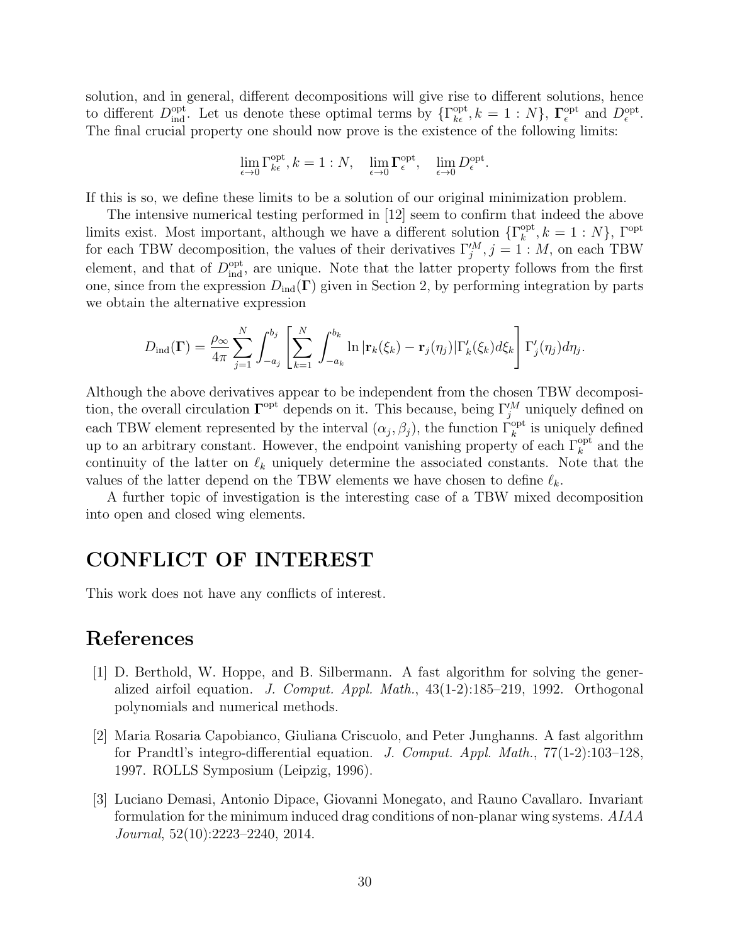solution, and in general, different decompositions will give rise to different solutions, hence to different  $D_{\text{ind}}^{\text{opt}}$ . Let us denote these optimal terms by  $\{\Gamma_{k\epsilon}^{\text{opt}}, k = 1 : N\}$ ,  $\Gamma_{\epsilon}^{\text{opt}}$  $_{\epsilon}^{\text{opt}}$  and  $D_{\epsilon}^{\text{opt}}$ . The final crucial property one should now prove is the existence of the following limits:

$$
\lim_{\epsilon \to 0} \Gamma_{k\epsilon}^{\text{opt}}, k = 1 : N, \quad \lim_{\epsilon \to 0} \Gamma_{\epsilon}^{\text{opt}}, \quad \lim_{\epsilon \to 0} D_{\epsilon}^{\text{opt}}.
$$

If this is so, we define these limits to be a solution of our original minimization problem.

The intensive numerical testing performed in [12] seem to confirm that indeed the above limits exist. Most important, although we have a different solution  $\{\Gamma_k^{\text{opt}}\}$  $_{k}^{\text{opt}}, k = 1:N$ ,  $\Gamma^{\text{opt}}$ for each TBW decomposition, the values of their derivatives  $\Gamma_j^M$ ,  $j = 1 : M$ , on each TBW element, and that of  $D_{\text{ind}}^{\text{opt}}$ , are unique. Note that the latter property follows from the first one, since from the expression  $D_{ind}(\Gamma)$  given in Section 2, by performing integration by parts we obtain the alternative expression

$$
D_{\text{ind}}(\mathbf{\Gamma}) = \frac{\rho_{\infty}}{4\pi} \sum_{j=1}^{N} \int_{-a_j}^{b_j} \left[ \sum_{k=1}^{N} \int_{-a_k}^{b_k} \ln |\mathbf{r}_k(\xi_k) - \mathbf{r}_j(\eta_j)| \Gamma'_k(\xi_k) d\xi_k \right] \Gamma'_j(\eta_j) d\eta_j.
$$

Although the above derivatives appear to be independent from the chosen TBW decomposition, the overall circulation  $\Gamma^{\text{opt}}$  depends on it. This because, being  $\Gamma_j^M$  uniquely defined on each TBW element represented by the interval  $(\alpha_j, \beta_j)$ , the function  $\Gamma_k^{\text{opt}}$  is uniquely defined up to an arbitrary constant. However, the endpoint vanishing property of each  $\Gamma_k^{\text{opt}}$  and the continuity of the latter on  $\ell_k$  uniquely determine the associated constants. Note that the values of the latter depend on the TBW elements we have chosen to define  $\ell_k$ .

A further topic of investigation is the interesting case of a TBW mixed decomposition into open and closed wing elements.

### CONFLICT OF INTEREST

This work does not have any conflicts of interest.

#### References

- [1] D. Berthold, W. Hoppe, and B. Silbermann. A fast algorithm for solving the generalized airfoil equation. J. Comput. Appl. Math.,  $43(1-2):185-219$ , 1992. Orthogonal polynomials and numerical methods.
- [2] Maria Rosaria Capobianco, Giuliana Criscuolo, and Peter Junghanns. A fast algorithm for Prandtl's integro-differential equation. J. Comput. Appl. Math., 77(1-2):103-128, 1997. ROLLS Symposium (Leipzig, 1996).
- [3] Luciano Demasi, Antonio Dipace, Giovanni Monegato, and Rauno Cavallaro. Invariant formulation for the minimum induced drag conditions of non-planar wing systems. AIAA Journal, 52(10):2223–2240, 2014.